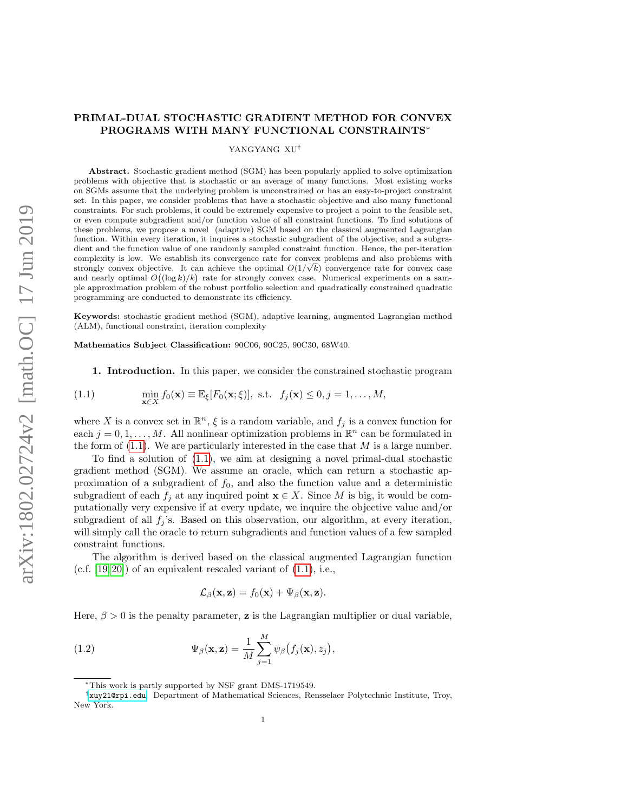# <span id="page-0-1"></span>PRIMAL-DUAL STOCHASTIC GRADIENT METHOD FOR CONVEX PROGRAMS WITH MANY FUNCTIONAL CONSTRAINTS<sup>∗</sup>

### YANGYANG XU†

Abstract. Stochastic gradient method (SGM) has been popularly applied to solve optimization problems with objective that is stochastic or an average of many functions. Most existing works on SGMs assume that the underlying problem is unconstrained or has an easy-to-project constraint set. In this paper, we consider problems that have a stochastic objective and also many functional constraints. For such problems, it could be extremely expensive to project a point to the feasible set, or even compute subgradient and/or function value of all constraint functions. To find solutions of these problems, we propose a novel (adaptive) SGM based on the classical augmented Lagrangian function. Within every iteration, it inquires a stochastic subgradient of the objective, and a subgradient and the function value of one randomly sampled constraint function. Hence, the per-iteration complexity is low. We establish its convergence rate for convex problems and also problems with strongly convex objective. It can achieve the optimal  $O(1/\sqrt{k})$  convergence rate for convex case and nearly optimal  $O((\log k)/k)$  rate for strongly convex case. Numerical experiments on a sample approximation problem of the robust portfolio selection and quadratically constrained quadratic programming are conducted to demonstrate its efficiency.

Keywords: stochastic gradient method (SGM), adaptive learning, augmented Lagrangian method (ALM), functional constraint, iteration complexity

Mathematics Subject Classification: 90C06, 90C25, 90C30, 68W40.

<span id="page-0-0"></span>1. Introduction. In this paper, we consider the constrained stochastic program

(1.1) 
$$
\min_{\mathbf{x}\in X} f_0(\mathbf{x}) \equiv \mathbb{E}_{\xi}[F_0(\mathbf{x};\xi)], \text{ s.t. } f_j(\mathbf{x}) \leq 0, j = 1,\ldots,M,
$$

where X is a convex set in  $\mathbb{R}^n$ ,  $\xi$  is a random variable, and  $f_j$  is a convex function for each  $j = 0, 1, ..., M$ . All nonlinear optimization problems in  $\mathbb{R}^n$  can be formulated in the form of  $(1.1)$ . We are particularly interested in the case that M is a large number.

To find a solution of [\(1.1\)](#page-0-0), we aim at designing a novel primal-dual stochastic gradient method (SGM). We assume an oracle, which can return a stochastic approximation of a subgradient of  $f_0$ , and also the function value and a deterministic subgradient of each  $f_j$  at any inquired point  $\mathbf{x} \in X$ . Since M is big, it would be computationally very expensive if at every update, we inquire the objective value and/or subgradient of all  $f_i$ 's. Based on this observation, our algorithm, at every iteration, will simply call the oracle to return subgradients and function values of a few sampled constraint functions.

The algorithm is derived based on the classical augmented Lagrangian function  $(c.f. [19, 20])$  $(c.f. [19, 20])$  $(c.f. [19, 20])$  $(c.f. [19, 20])$  of an equivalent rescaled variant of  $(1.1)$ , i.e.,

<span id="page-0-2"></span>
$$
\mathcal{L}_{\beta}(\mathbf{x}, \mathbf{z}) = f_0(\mathbf{x}) + \Psi_{\beta}(\mathbf{x}, \mathbf{z}).
$$

Here,  $\beta > 0$  is the penalty parameter, **z** is the Lagrangian multiplier or dual variable,

(1.2) 
$$
\Psi_{\beta}(\mathbf{x}, \mathbf{z}) = \frac{1}{M} \sum_{j=1}^{M} \psi_{\beta}(f_j(\mathbf{x}), z_j),
$$

<sup>∗</sup>This work is partly supported by NSF grant DMS-1719549.

<sup>†</sup><xuy21@rpi.edu>. Department of Mathematical Sciences, Rensselaer Polytechnic Institute, Troy, New York.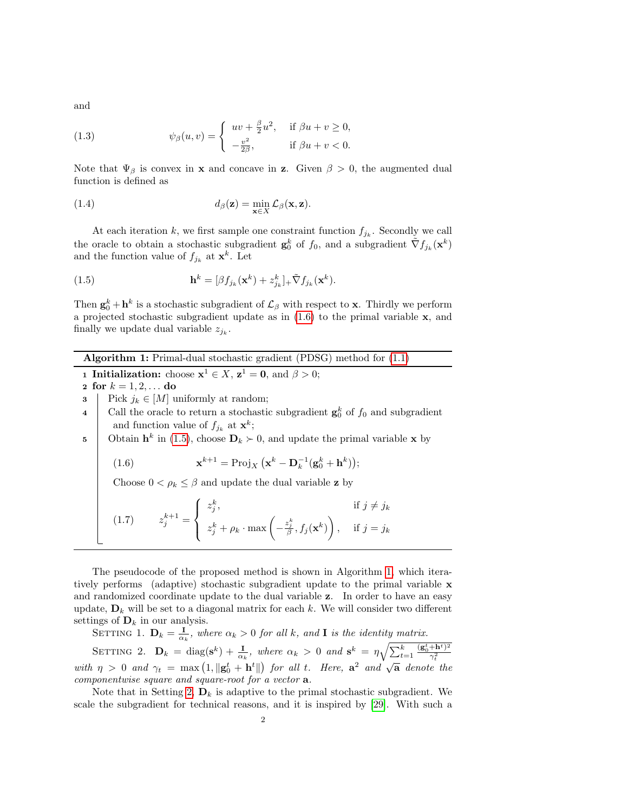and

<span id="page-1-4"></span>(1.3) 
$$
\psi_{\beta}(u,v) = \begin{cases} uv + \frac{\beta}{2}u^2, & \text{if } \beta u + v \ge 0, \\ -\frac{v^2}{2\beta}, & \text{if } \beta u + v < 0. \end{cases}
$$

Note that  $\Psi_{\beta}$  is convex in **x** and concave in **z**. Given  $\beta > 0$ , the augmented dual function is defined as

(1.4) 
$$
d_{\beta}(\mathbf{z}) = \min_{\mathbf{x} \in X} \mathcal{L}_{\beta}(\mathbf{x}, \mathbf{z}).
$$

At each iteration k, we first sample one constraint function  $f_{j_k}$ . Secondly we call the oracle to obtain a stochastic subgradient  $\mathbf{g}_0^k$  of  $f_0$ , and a subgradient  $\tilde{\nabla} f_{j_k}(\mathbf{x}^k)$ and the function value of  $f_{j_k}$  at  $\mathbf{x}^k$ . Let

<span id="page-1-1"></span>(1.5) 
$$
\mathbf{h}^k = [\beta f_{j_k}(\mathbf{x}^k) + z_{j_k}^k]_+ \tilde{\nabla} f_{j_k}(\mathbf{x}^k).
$$

Then  $\mathbf{g}_0^k + \mathbf{h}^k$  is a stochastic subgradient of  $\mathcal{L}_{\beta}$  with respect to **x**. Thirdly we perform a projected stochastic subgradient update as in  $(1.6)$  to the primal variable  $x$ , and finally we update dual variable  $z_{j_k}$ .

Algorithm 1: Primal-dual stochastic gradient (PDSG) method for [\(1.1\)](#page-0-0)

<span id="page-1-2"></span>**1 Initialization:** choose  $x^1 \in X$ ,  $z^1 = 0$ , and  $\beta > 0$ ;

2 for  $k = 1, 2, ...$  do

- 3 Pick  $j_k \in [M]$  uniformly at random;
- 4 Call the oracle to return a stochastic subgradient  $\mathbf{g}_0^k$  of  $f_0$  and subgradient and function value of  $f_{j_k}$  at  $\mathbf{x}^k$ ;
- 5 Obtain  $h^k$  in [\(1.5\)](#page-1-1), choose  $D_k \succ 0$ , and update the primal variable x by

<span id="page-1-0"></span>(1.6) 
$$
\mathbf{x}^{k+1} = \text{Proj}_X \left( \mathbf{x}^k - \mathbf{D}_k^{-1} (\mathbf{g}_0^k + \mathbf{h}^k) \right);
$$

Choose  $0<\rho_k\leq \beta$  and update the dual variable  $\mathbf z$  by

(1.7) 
$$
z_j^{k+1} = \begin{cases} z_j^k, & \text{if } j \neq j_k \\ z_j^k + \rho_k \cdot \max\left(-\frac{z_j^k}{\beta}, f_j(\mathbf{x}^k)\right), & \text{if } j = j_k \end{cases}
$$

The pseudocode of the proposed method is shown in Algorithm [1,](#page-1-2) which iteratively performs (adaptive) stochastic subgradient update to the primal variable x and randomized coordinate update to the dual variable z. In order to have an easy update,  $\mathbf{D}_k$  will be set to a diagonal matrix for each k. We will consider two different settings of  $\mathbf{D}_k$  in our analysis.

<span id="page-1-5"></span>SETTING 1.  $\mathbf{D}_k = \frac{\mathbf{I}}{\alpha_k}$ , where  $\alpha_k > 0$  for all k, and **I** is the identity matrix.

<span id="page-1-3"></span>SETTING 2.  $\mathbf{D}_k = \text{diag}(\mathbf{s}^k) + \frac{\mathbf{I}}{\alpha_k}$ , where  $\alpha_k > 0$  and  $\mathbf{s}^k = \eta \sqrt{\sum_{t=1}^k \mathbf{I}(\mathbf{s}^k)}$  $({\mathbf g}_0^t\text{+h}^t)^2$ SETTING 2.  $\mathbf{D}_k = \text{diag}(\mathbf{s}) + \frac{1}{\alpha_k}$ , where  $\alpha_k > 0$  and  $\mathbf{s} = \frac{1}{\sqrt{2}}$ <br>with  $\eta > 0$  and  $\gamma_t = \max(1, ||\mathbf{g}_0^t + \mathbf{h}^t||)$  for all t. Here,  $\mathbf{a}^2$  and  $\sqrt{\mathbf{a}}$  denote the componentwise square and square-root for a vector a.

Note that in Setting [2,](#page-1-3)  $\mathbf{D}_k$  is adaptive to the primal stochastic subgradient. We scale the subgradient for technical reasons, and it is inspired by [\[29\]](#page-27-2). With such a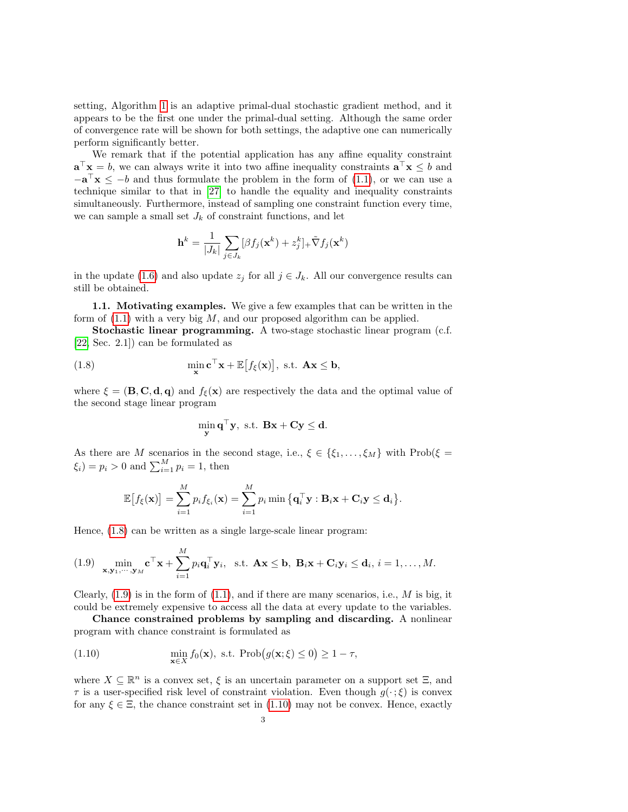setting, Algorithm [1](#page-1-2) is an adaptive primal-dual stochastic gradient method, and it appears to be the first one under the primal-dual setting. Although the same order of convergence rate will be shown for both settings, the adaptive one can numerically perform significantly better.

We remark that if the potential application has any affine equality constraint  $\mathbf{a}^{\top}\mathbf{x} = b$ , we can always write it into two affine inequality constraints  $\mathbf{a}^{\top}\mathbf{x} \leq b$  and  $-\mathbf{a}^{\top}\mathbf{x} \leq -b$  and thus formulate the problem in the form of [\(1.1\)](#page-0-0), or we can use a technique similar to that in [\[27\]](#page-27-3) to handle the equality and inequality constraints simultaneously. Furthermore, instead of sampling one constraint function every time, we can sample a small set  $J_k$  of constraint functions, and let

$$
\mathbf{h}^{k} = \frac{1}{|J_{k}|} \sum_{j \in J_{k}} [\beta f_{j}(\mathbf{x}^{k}) + z_{j}^{k}]_{+} \tilde{\nabla} f_{j}(\mathbf{x}^{k})
$$

in the update [\(1.6\)](#page-1-0) and also update  $z_j$  for all  $j \in J_k$ . All our convergence results can still be obtained.

1.1. Motivating examples. We give a few examples that can be written in the form of  $(1.1)$  with a very big M, and our proposed algorithm can be applied.

Stochastic linear programming. A two-stage stochastic linear program (c.f. [\[22,](#page-27-4) Sec. 2.1]) can be formulated as

(1.8) 
$$
\min_{\mathbf{x}} \mathbf{c}^{\top} \mathbf{x} + \mathbb{E} [f_{\xi}(\mathbf{x})], \text{ s.t. } \mathbf{A}\mathbf{x} \leq \mathbf{b},
$$

where  $\xi = (\mathbf{B}, \mathbf{C}, \mathbf{d}, \mathbf{q})$  and  $f_{\xi}(\mathbf{x})$  are respectively the data and the optimal value of the second stage linear program

<span id="page-2-0"></span>
$$
\min_{\mathbf{y}} \mathbf{q}^{\top} \mathbf{y}, \text{ s.t. } \mathbf{B}\mathbf{x} + \mathbf{C}\mathbf{y} \leq \mathbf{d}.
$$

As there are M scenarios in the second stage, i.e.,  $\xi \in \{\xi_1, \ldots, \xi_M\}$  with Prob $(\xi =$  $\xi_i$ ) =  $p_i > 0$  and  $\sum_{i=1}^{M} p_i = 1$ , then

$$
\mathbb{E}\big[f_{\xi}(\mathbf{x})\big] = \sum_{i=1}^{M} p_i f_{\xi_i}(\mathbf{x}) = \sum_{i=1}^{M} p_i \min \big\{ \mathbf{q}_i^{\top} \mathbf{y} : \mathbf{B}_i \mathbf{x} + \mathbf{C}_i \mathbf{y} \le \mathbf{d}_i \big\}.
$$

Hence, [\(1.8\)](#page-2-0) can be written as a single large-scale linear program:

<span id="page-2-1"></span>(1.9) 
$$
\min_{\mathbf{x}, \mathbf{y}_1, \cdots, \mathbf{y}_M} \mathbf{c}^\top \mathbf{x} + \sum_{i=1}^M p_i \mathbf{q}_i^\top \mathbf{y}_i, \text{ s.t. } \mathbf{A}\mathbf{x} \leq \mathbf{b}, \ \mathbf{B}_i\mathbf{x} + \mathbf{C}_i\mathbf{y}_i \leq \mathbf{d}_i, i = 1, \ldots, M.
$$

Clearly,  $(1.9)$  is in the form of  $(1.1)$ , and if there are many scenarios, i.e., M is big, it could be extremely expensive to access all the data at every update to the variables.

Chance constrained problems by sampling and discarding. A nonlinear program with chance constraint is formulated as

<span id="page-2-2"></span>(1.10) 
$$
\min_{\mathbf{x}\in X} f_0(\mathbf{x}), \text{ s.t. } \text{Prob}(g(\mathbf{x}; \xi) \leq 0) \geq 1 - \tau,
$$

where  $X \subseteq \mathbb{R}^n$  is a convex set,  $\xi$  is an uncertain parameter on a support set  $\Xi$ , and  $\tau$  is a user-specified risk level of constraint violation. Even though  $g(\cdot;\xi)$  is convex for any  $\xi \in \Xi$ , the chance constraint set in [\(1.10\)](#page-2-2) may not be convex. Hence, exactly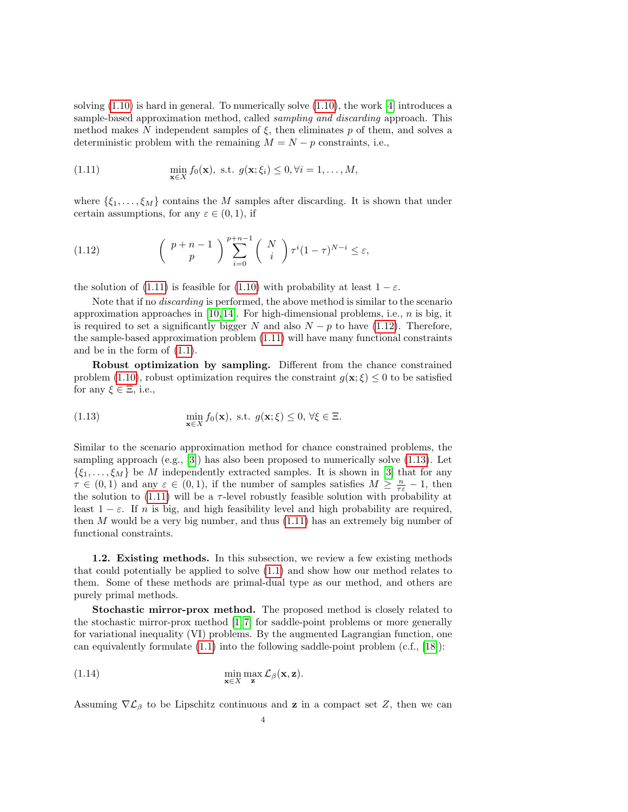solving  $(1.10)$  is hard in general. To numerically solve  $(1.10)$ , the work [\[4\]](#page-26-0) introduces a sample-based approximation method, called sampling and discarding approach. This method makes N independent samples of  $\xi$ , then eliminates p of them, and solves a deterministic problem with the remaining  $M = N - p$  constraints, i.e.,

<span id="page-3-0"></span>(1.11) 
$$
\min_{\mathbf{x}\in X} f_0(\mathbf{x}), \text{ s.t. } g(\mathbf{x}; \xi_i) \leq 0, \forall i = 1, ..., M,
$$

where  $\{\xi_1,\ldots,\xi_M\}$  contains the M samples after discarding. It is shown that under certain assumptions, for any  $\varepsilon \in (0,1)$ , if

<span id="page-3-1"></span>(1.12) 
$$
\begin{pmatrix} p+n-1 \\ p \end{pmatrix} \sum_{i=0}^{p+n-1} \begin{pmatrix} N \\ i \end{pmatrix} \tau^i (1-\tau)^{N-i} \leq \varepsilon,
$$

the solution of [\(1.11\)](#page-3-0) is feasible for [\(1.10\)](#page-2-2) with probability at least  $1 - \varepsilon$ .

Note that if no *discarding* is performed, the above method is similar to the scenario approximation approaches in [\[10,](#page-27-5) [14\]](#page-27-6). For high-dimensional problems, i.e., n is big, it is required to set a significantly bigger N and also  $N - p$  to have [\(1.12\)](#page-3-1). Therefore, the sample-based approximation problem [\(1.11\)](#page-3-0) will have many functional constraints and be in the form of [\(1.1\)](#page-0-0).

Robust optimization by sampling. Different from the chance constrained problem [\(1.10\)](#page-2-2), robust optimization requires the constraint  $g(\mathbf{x}; \xi) \leq 0$  to be satisfied for any  $\xi \in \Xi$ , i.e.,

<span id="page-3-2"></span>(1.13) 
$$
\min_{\mathbf{x}\in X} f_0(\mathbf{x}), \text{ s.t. } g(\mathbf{x}; \xi) \leq 0, \forall \xi \in \Xi.
$$

Similar to the scenario approximation method for chance constrained problems, the sampling approach (e.g.,  $[3]$ ) has also been proposed to numerically solve  $(1.13)$ . Let  $\{\xi_1,\ldots,\xi_M\}$  be M independently extracted samples. It is shown in [\[3\]](#page-26-1) that for any  $\tau \in (0,1)$  and any  $\varepsilon \in (0,1)$ , if the number of samples satisfies  $M \geq \frac{n}{\tau \varepsilon} - 1$ , then the solution to [\(1.11\)](#page-3-0) will be a  $\tau$ -level robustly feasible solution with probability at least  $1 - \varepsilon$ . If n is big, and high feasibility level and high probability are required, then  $M$  would be a very big number, and thus  $(1.11)$  has an extremely big number of functional constraints.

1.2. Existing methods. In this subsection, we review a few existing methods that could potentially be applied to solve [\(1.1\)](#page-0-0) and show how our method relates to them. Some of these methods are primal-dual type as our method, and others are purely primal methods.

Stochastic mirror-prox method. The proposed method is closely related to the stochastic mirror-prox method  $[1, 7]$  $[1, 7]$  for saddle-point problems or more generally for variational inequality (VI) problems. By the augmented Lagrangian function, one can equivalently formulate  $(1.1)$  into the following saddle-point problem  $(c.f., [18])$  $(c.f., [18])$  $(c.f., [18])$ :

<span id="page-3-3"></span>(1.14) 
$$
\min_{\mathbf{x}\in X} \max_{\mathbf{z}} \mathcal{L}_{\beta}(\mathbf{x}, \mathbf{z}).
$$

Assuming  $\nabla \mathcal{L}_{\beta}$  to be Lipschitz continuous and **z** in a compact set Z, then we can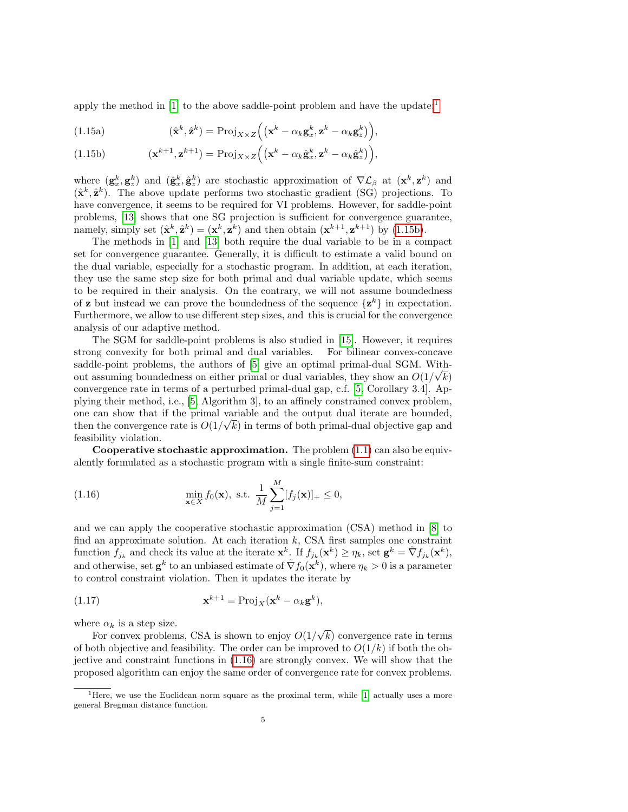apply the method in  $[1]$  to the above saddle-point problem and have the update:<sup>[1](#page-0-1)</sup>

<span id="page-4-2"></span>(1.15a) 
$$
(\hat{\mathbf{x}}^k, \hat{\mathbf{z}}^k) = \text{Proj}_{X \times Z} \Big( (\mathbf{x}^k - \alpha_k \mathbf{g}_x^k, \mathbf{z}^k - \alpha_k \mathbf{g}_z^k) \Big),
$$

<span id="page-4-0"></span>(1.15b) 
$$
(\mathbf{x}^{k+1}, \mathbf{z}^{k+1}) = \text{Proj}_{X \times Z} ((\mathbf{x}^k - \alpha_k \hat{\mathbf{g}}_x^k, \mathbf{z}^k - \alpha_k \hat{\mathbf{g}}_z^k)),
$$

where  $(g_x^k, g_z^k)$  and  $(\hat{g}_x^k, \hat{g}_z^k)$  are stochastic approximation of  $\nabla \mathcal{L}_{\beta}$  at  $(\mathbf{x}^k, \mathbf{z}^k)$  and  $(\hat{\mathbf{x}}^k, \hat{\mathbf{z}}^k)$ . The above update performs two stochastic gradient (SG) projections. To have convergence, it seems to be required for VI problems. However, for saddle-point problems, [\[13\]](#page-27-9) shows that one SG projection is sufficient for convergence guarantee, namely, simply set  $(\hat{\mathbf{x}}^k, \hat{\mathbf{z}}^k) = (\mathbf{x}^k, \mathbf{z}^k)$  and then obtain  $(\mathbf{x}^{k+1}, \mathbf{z}^{k+1})$  by [\(1.15b\)](#page-4-0).

The methods in [\[1\]](#page-26-2) and [\[13\]](#page-27-9) both require the dual variable to be in a compact set for convergence guarantee. Generally, it is difficult to estimate a valid bound on the dual variable, especially for a stochastic program. In addition, at each iteration, they use the same step size for both primal and dual variable update, which seems to be required in their analysis. On the contrary, we will not assume boundedness of **z** but instead we can prove the boundedness of the sequence  $\{z^k\}$  in expectation. Furthermore, we allow to use different step sizes, and this is crucial for the convergence analysis of our adaptive method.

The SGM for saddle-point problems is also studied in [\[15\]](#page-27-10). However, it requires strong convexity for both primal and dual variables. For bilinear convex-concave saddle-point problems, the authors of  $[5]$  give an optimal primal-dual SGM. Without assuming boundedness on either primal or dual variables, they show an  $O(1/\sqrt{k})$ convergence rate in terms of a perturbed primal-dual gap, c.f. [\[5,](#page-27-11) Corollary 3.4]. Applying their method, i.e., [\[5,](#page-27-11) Algorithm 3], to an affinely constrained convex problem, one can show that if the primal variable and the output dual iterate are bounded, then the convergence rate is  $O(1/\sqrt{k})$  in terms of both primal-dual objective gap and feasibility violation.

Cooperative stochastic approximation. The problem  $(1.1)$  can also be equivalently formulated as a stochastic program with a single finite-sum constraint:

<span id="page-4-1"></span>(1.16) 
$$
\min_{\mathbf{x}\in X} f_0(\mathbf{x}), \text{ s.t. } \frac{1}{M} \sum_{j=1}^{M} [f_j(\mathbf{x})]_+ \leq 0,
$$

and we can apply the cooperative stochastic approximation (CSA) method in [\[8\]](#page-27-12) to find an approximate solution. At each iteration  $k$ , CSA first samples one constraint function  $f_{j_k}$  and check its value at the iterate  $\mathbf{x}^k$ . If  $f_{j_k}(\mathbf{x}^k) \geq \eta_k$ , set  $\mathbf{g}^k = \tilde{\nabla} f_{j_k}(\mathbf{x}^k)$ , and otherwise, set  $g^k$  to an unbiased estimate of  $\tilde{\nabla} f_0(\mathbf{x}^k)$ , where  $\eta_k > 0$  is a parameter to control constraint violation. Then it updates the iterate by

<span id="page-4-3"></span>(1.17) 
$$
\mathbf{x}^{k+1} = \text{Proj}_X(\mathbf{x}^k - \alpha_k \mathbf{g}^k),
$$

where  $\alpha_k$  is a step size.

For convex problems, CSA is shown to enjoy  $O(1)$ √ k) convergence rate in terms of both objective and feasibility. The order can be improved to  $O(1/k)$  if both the objective and constraint functions in [\(1.16\)](#page-4-1) are strongly convex. We will show that the proposed algorithm can enjoy the same order of convergence rate for convex problems.

<sup>&</sup>lt;sup>1</sup> Here, we use the Euclidean norm square as the proximal term, while  $[1]$  actually uses a more general Bregman distance function.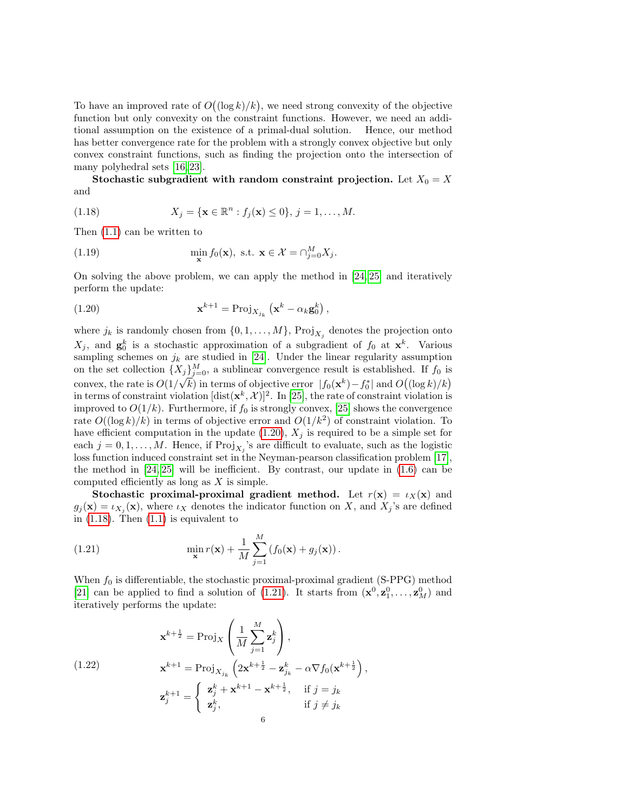To have an improved rate of  $O((\log k)/k)$ , we need strong convexity of the objective function but only convexity on the constraint functions. However, we need an additional assumption on the existence of a primal-dual solution. Hence, our method has better convergence rate for the problem with a strongly convex objective but only convex constraint functions, such as finding the projection onto the intersection of many polyhedral sets [\[16,](#page-27-13) [23\]](#page-27-14).

Stochastic subgradient with random constraint projection. Let  $X_0 = X$ and

<span id="page-5-1"></span>(1.18) 
$$
X_j = \{ \mathbf{x} \in \mathbb{R}^n : f_j(\mathbf{x}) \le 0 \}, j = 1, ..., M.
$$

Then [\(1.1\)](#page-0-0) can be written to

(1.19) 
$$
\min_{\mathbf{x}} f_0(\mathbf{x}), \text{ s.t. } \mathbf{x} \in \mathcal{X} = \bigcap_{j=0}^M X_j.
$$

On solving the above problem, we can apply the method in [\[24,](#page-27-15) [25\]](#page-27-16) and iteratively perform the update:

<span id="page-5-0"></span>(1.20) 
$$
\mathbf{x}^{k+1} = \text{Proj}_{X_{j_k}}(\mathbf{x}^k - \alpha_k \mathbf{g}_0^k),
$$

where  $j_k$  is randomly chosen from  $\{0, 1, \ldots, M\}$ , Pro $j_{X_j}$  denotes the projection onto  $X_j$ , and  $\mathbf{g}_0^k$  is a stochastic approximation of a subgradient of  $f_0$  at  $\mathbf{x}^k$ . Various sampling schemes on  $j_k$  are studied in [\[24\]](#page-27-15). Under the linear regularity assumption on the set collection  $\{X_j\}_{j=0}^M$ , a sublinear convergence result is established. If  $f_0$  is convex, the rate is  $O(1/\sqrt{k})$  in terms of objective error  $|f_0(\mathbf{x}^k) - f_0^*|$  and  $O((\log k)/k)$ in terms of constraint violation  $[\text{dist}(\mathbf{x}^k, \mathcal{X})]^2$ . In [\[25\]](#page-27-16), the rate of constraint violation is improved to  $O(1/k)$ . Furthermore, if  $f_0$  is strongly convex, [\[25\]](#page-27-16) shows the convergence rate  $O((\log k)/k)$  in terms of objective error and  $O(1/k^2)$  of constraint violation. To have efficient computation in the update [\(1.20\)](#page-5-0),  $X_j$  is required to be a simple set for each  $j = 0, 1, \ldots, M$ . Hence, if  $\text{Proj}_{X_j}$ 's are difficult to evaluate, such as the logistic loss function induced constraint set in the Neyman-pearson classification problem [\[17\]](#page-27-17), the method in  $[24, 25]$  $[24, 25]$  will be inefficient. By contrast, our update in  $(1.6)$  can be computed efficiently as long as X is simple.

Stochastic proximal-proximal gradient method. Let  $r(x) = \iota_X(x)$  and  $g_j(\mathbf{x}) = \iota_{X_j}(\mathbf{x})$ , where  $\iota_X$  denotes the indicator function on X, and  $X_j$ 's are defined in  $(1.18)$ . Then  $(1.1)$  is equivalent to

<span id="page-5-2"></span>(1.21) 
$$
\min_{\mathbf{x}} r(\mathbf{x}) + \frac{1}{M} \sum_{j=1}^{M} \left( f_0(\mathbf{x}) + g_j(\mathbf{x}) \right).
$$

When  $f_0$  is differentiable, the stochastic proximal-proximal gradient (S-PPG) method [\[21\]](#page-27-18) can be applied to find a solution of [\(1.21\)](#page-5-2). It starts from  $(\mathbf{x}^0, \mathbf{z}_1^0, \dots, \mathbf{z}_M^0)$  and iteratively performs the update:

<span id="page-5-3"></span>(1.22) 
$$
\mathbf{x}^{k+\frac{1}{2}} = \text{Proj}_{X} \left( \frac{1}{M} \sum_{j=1}^{M} \mathbf{z}_{j}^{k} \right),
$$

$$
\mathbf{x}^{k+1} = \text{Proj}_{X_{j_k}} \left( 2\mathbf{x}^{k+\frac{1}{2}} - \mathbf{z}_{j_k}^{k} - \alpha \nabla f_0(\mathbf{x}^{k+\frac{1}{2}}),
$$

$$
\mathbf{z}_{j}^{k+1} = \begin{cases} \mathbf{z}_{j}^{k} + \mathbf{x}^{k+1} - \mathbf{x}^{k+\frac{1}{2}}, & \text{if } j = j_k \\ \mathbf{z}_{j}^{k}, & \text{if } j \neq j_k \end{cases}
$$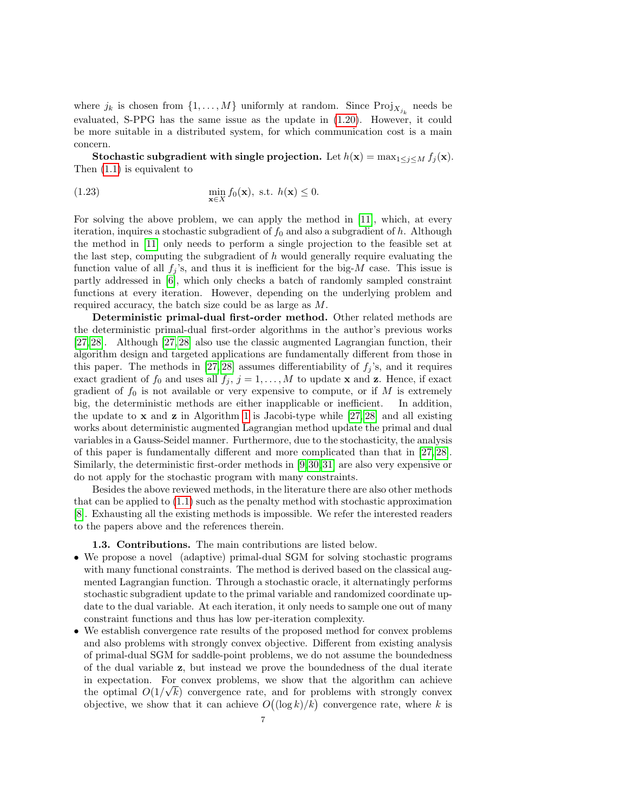where  $j_k$  is chosen from  $\{1, \ldots, M\}$  uniformly at random. Since  $\text{Proj}_{X_{j_k}}$  needs be evaluated, S-PPG has the same issue as the update in [\(1.20\)](#page-5-0). However, it could be more suitable in a distributed system, for which communication cost is a main concern.

Stochastic subgradient with single projection. Let  $h(\mathbf{x}) = \max_{1 \leq j \leq M} f_j(\mathbf{x})$ . Then [\(1.1\)](#page-0-0) is equivalent to

(1.23) 
$$
\min_{\mathbf{x}\in X} f_0(\mathbf{x}), \text{ s.t. } h(\mathbf{x}) \leq 0.
$$

For solving the above problem, we can apply the method in [\[11\]](#page-27-19), which, at every iteration, inquires a stochastic subgradient of  $f_0$  and also a subgradient of h. Although the method in [\[11\]](#page-27-19) only needs to perform a single projection to the feasible set at the last step, computing the subgradient of h would generally require evaluating the function value of all  $f_j$ 's, and thus it is inefficient for the big-M case. This issue is partly addressed in [\[6\]](#page-27-20), which only checks a batch of randomly sampled constraint functions at every iteration. However, depending on the underlying problem and required accuracy, the batch size could be as large as M.

Deterministic primal-dual first-order method. Other related methods are the deterministic primal-dual first-order algorithms in the author's previous works [\[27,](#page-27-3) [28\]](#page-27-21). Although [\[27,](#page-27-3) [28\]](#page-27-21) also use the classic augmented Lagrangian function, their algorithm design and targeted applications are fundamentally different from those in this paper. The methods in [\[27,](#page-27-3) [28\]](#page-27-21) assumes differentiability of  $f_i$ 's, and it requires exact gradient of  $f_0$  and uses all  $f_j$ ,  $j = 1, ..., M$  to update **x** and **z**. Hence, if exact gradient of  $f_0$  is not available or very expensive to compute, or if M is extremely big, the deterministic methods are either inapplicable or inefficient. In addition, the update to  $x$  and  $z$  in Algorithm [1](#page-1-2) is Jacobi-type while [\[27,](#page-27-3) [28\]](#page-27-21) and all existing works about deterministic augmented Lagrangian method update the primal and dual variables in a Gauss-Seidel manner. Furthermore, due to the stochasticity, the analysis of this paper is fundamentally different and more complicated than that in [\[27,](#page-27-3) [28\]](#page-27-21). Similarly, the deterministic first-order methods in [\[9,](#page-27-22)[30,](#page-27-23)[31\]](#page-27-24) are also very expensive or do not apply for the stochastic program with many constraints.

Besides the above reviewed methods, in the literature there are also other methods that can be applied to [\(1.1\)](#page-0-0) such as the penalty method with stochastic approximation [\[8\]](#page-27-12). Exhausting all the existing methods is impossible. We refer the interested readers to the papers above and the references therein.

1.3. Contributions. The main contributions are listed below.

- We propose a novel (adaptive) primal-dual SGM for solving stochastic programs with many functional constraints. The method is derived based on the classical augmented Lagrangian function. Through a stochastic oracle, it alternatingly performs stochastic subgradient update to the primal variable and randomized coordinate update to the dual variable. At each iteration, it only needs to sample one out of many constraint functions and thus has low per-iteration complexity.
- We establish convergence rate results of the proposed method for convex problems and also problems with strongly convex objective. Different from existing analysis of primal-dual SGM for saddle-point problems, we do not assume the boundedness of the dual variable z, but instead we prove the boundedness of the dual iterate in expectation. For convex problems, we show that the algorithm can achieve the optimal  $O(1/\sqrt{k})$  convergence rate, and for problems with strongly convex objective, we show that it can achieve  $O((\log k)/k)$  convergence rate, where k is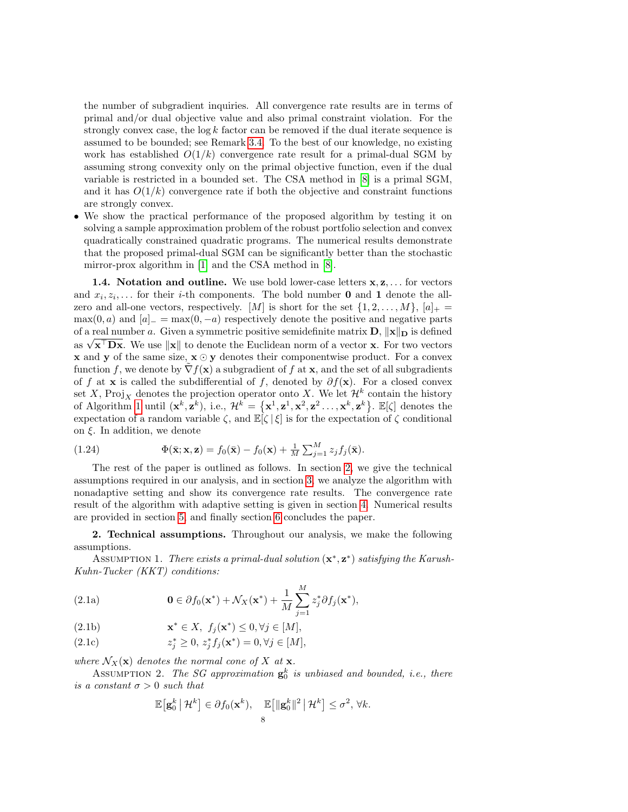the number of subgradient inquiries. All convergence rate results are in terms of primal and/or dual objective value and also primal constraint violation. For the strongly convex case, the  $\log k$  factor can be removed if the dual iterate sequence is assumed to be bounded; see Remark [3.4.](#page-17-0) To the best of our knowledge, no existing work has established  $O(1/k)$  convergence rate result for a primal-dual SGM by assuming strong convexity only on the primal objective function, even if the dual variable is restricted in a bounded set. The CSA method in [\[8\]](#page-27-12) is a primal SGM, and it has  $O(1/k)$  convergence rate if both the objective and constraint functions are strongly convex.

• We show the practical performance of the proposed algorithm by testing it on solving a sample approximation problem of the robust portfolio selection and convex quadratically constrained quadratic programs. The numerical results demonstrate that the proposed primal-dual SGM can be significantly better than the stochastic mirror-prox algorithm in [\[1\]](#page-26-2) and the CSA method in [\[8\]](#page-27-12).

**1.4.** Notation and outline. We use bold lower-case letters  $x, z, \ldots$  for vectors and  $x_i, z_i, \ldots$  for their *i*-th components. The bold number **0** and **1** denote the allzero and all-one vectors, respectively. [M] is short for the set  $\{1, 2, \ldots, M\}$ ,  $[a]_+ =$  $\max(0, a)$  and  $[a]_ = \max(0, -a)$  respectively denote the positive and negative parts of a real number a. Given a symmetric positive semidefinite matrix  $\mathbf{D}$ ,  $\|\mathbf{x}\|_{\mathbf{D}}$  is defined or a real number a. Given a symmetric positive semidentitie matrix  $\bf{D}$ ,  $||\bf{x}||\bf{D}$  is defined<br>as  $\sqrt{\bf{x}^{\top}\bf{Dx}}$ . We use  $||\bf{x}||$  to denote the Euclidean norm of a vector **x**. For two vectors **x** and **y** of the same size,  $\mathbf{x} \odot \mathbf{y}$  denotes their componentwise product. For a convex function f, we denote by  $\nabla f(\mathbf{x})$  a subgradient of f at  $\mathbf{x}$ , and the set of all subgradients of f at x is called the subdifferential of f, denoted by  $\partial f(x)$ . For a closed convex set X, Proj<sub>X</sub> denotes the projection operator onto X. We let  $\mathcal{H}^k$  contain the history of Algorithm [1](#page-1-2) until  $(\mathbf{x}^k, \mathbf{z}^k)$ , i.e.,  $\mathcal{H}^k = {\mathbf{x}^1, \mathbf{z}^1, \mathbf{x}^2, \mathbf{z}^2, \dots, \mathbf{x}^k, \mathbf{z}^k}$ .  $\mathbb{E}[\zeta]$  denotes the expectation of a random variable  $\zeta$ , and  $\mathbb{E}[\zeta | \xi]$  is for the expectation of  $\zeta$  conditional on  $\xi$ . In addition, we denote

<span id="page-7-7"></span>(1.24) 
$$
\Phi(\bar{\mathbf{x}};\mathbf{x},\mathbf{z}) = f_0(\bar{\mathbf{x}}) - f_0(\mathbf{x}) + \frac{1}{M} \sum_{j=1}^M z_j f_j(\bar{\mathbf{x}}).
$$

The rest of the paper is outlined as follows. In section [2,](#page-7-0) we give the technical assumptions required in our analysis, and in section [3,](#page-8-0) we analyze the algorithm with nonadaptive setting and show its convergence rate results. The convergence rate result of the algorithm with adaptive setting is given in section [4.](#page-18-0) Numerical results are provided in section [5,](#page-19-0) and finally section [6](#page-21-0) concludes the paper.

<span id="page-7-0"></span>2. Technical assumptions. Throughout our analysis, we make the following assumptions.

<span id="page-7-3"></span><span id="page-7-1"></span>ASSUMPTION 1. There exists a primal-dual solution  $(\mathbf{x}^*, \mathbf{z}^*)$  satisfying the Karush-Kuhn-Tucker (KKT) conditions:

<span id="page-7-4"></span>(2.1a) 
$$
\mathbf{0} \in \partial f_0(\mathbf{x}^*) + \mathcal{N}_X(\mathbf{x}^*) + \frac{1}{M} \sum_{j=1}^M z_j^* \partial f_j(\mathbf{x}^*),
$$

<span id="page-7-5"></span>(2.1b) 
$$
\mathbf{x}^* \in X, \ f_j(\mathbf{x}^*) \leq 0, \forall j \in [M],
$$

<span id="page-7-6"></span>(2.1c) 
$$
z_j^* \geq 0, z_j^* f_j(\mathbf{x}^*) = 0, \forall j \in [M],
$$

where  $\mathcal{N}_X(\mathbf{x})$  denotes the normal cone of X at  $\mathbf{x}$ .

<span id="page-7-2"></span>ASSUMPTION 2. The SG approximation  $\mathbf{g}_0^k$  is unbiased and bounded, i.e., there is a constant  $\sigma > 0$  such that

$$
\mathbb{E}\big[\mathbf{g}_0^k \big| \mathcal{H}^k\big] \in \partial f_0(\mathbf{x}^k), \quad \mathbb{E}\big[\|\mathbf{g}_0^k\|^2 \big| \mathcal{H}^k\big] \leq \sigma^2, \forall k.
$$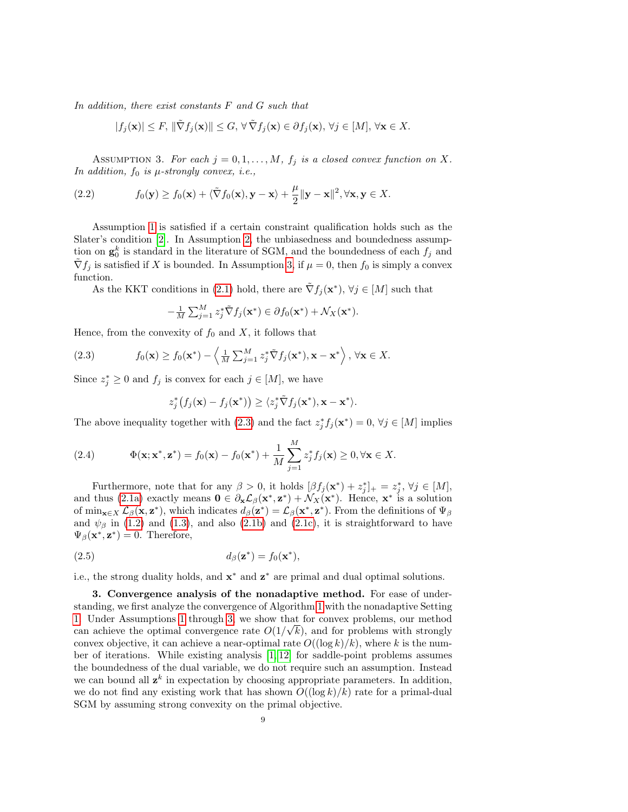In addition, there exist constants F and G such that

$$
|f_j(\mathbf{x})| \leq F, \|\tilde{\nabla} f_j(\mathbf{x})\| \leq G, \forall \tilde{\nabla} f_j(\mathbf{x}) \in \partial f_j(\mathbf{x}), \forall j \in [M], \forall \mathbf{x} \in X.
$$

<span id="page-8-1"></span>ASSUMPTION 3. For each  $j = 0, 1, ..., M$ ,  $f_j$  is a closed convex function on X. In addition,  $f_0$  is  $\mu$ -strongly convex, i.e.,

<span id="page-8-5"></span>(2.2) 
$$
f_0(\mathbf{y}) \ge f_0(\mathbf{x}) + \langle \tilde{\nabla} f_0(\mathbf{x}), \mathbf{y} - \mathbf{x} \rangle + \frac{\mu}{2} ||\mathbf{y} - \mathbf{x}||^2, \forall \mathbf{x}, \mathbf{y} \in X.
$$

Assumption [1](#page-7-1) is satisfied if a certain constraint qualification holds such as the Slater's condition [\[2\]](#page-26-3). In Assumption [2,](#page-7-2) the unbiasedness and boundedness assumption on  $\mathbf{g}_0^k$  is standard in the literature of SGM, and the boundedness of each  $f_j$  and  $\tilde{\nabla} f_j$  is satisfied if X is bounded. In Assumption [3,](#page-8-1) if  $\mu = 0$ , then  $f_0$  is simply a convex function.

As the KKT conditions in [\(2.1\)](#page-7-3) hold, there are  $\tilde{\nabla} f_j(\mathbf{x}^*)$ ,  $\forall j \in [M]$  such that

<span id="page-8-2"></span>
$$
-\frac{1}{M}\sum_{j=1}^M z_j^* \tilde{\nabla} f_j(\mathbf{x}^*) \in \partial f_0(\mathbf{x}^*) + \mathcal{N}_X(\mathbf{x}^*).
$$

Hence, from the convexity of  $f_0$  and  $X$ , it follows that

(2.3) 
$$
f_0(\mathbf{x}) \ge f_0(\mathbf{x}^*) - \left\langle \frac{1}{M} \sum_{j=1}^M z_j^* \tilde{\nabla} f_j(\mathbf{x}^*), \mathbf{x} - \mathbf{x}^* \right\rangle, \forall \mathbf{x} \in X.
$$

Since  $z_j^* \geq 0$  and  $f_j$  is convex for each  $j \in [M]$ , we have

$$
z_j^*\big(f_j(\mathbf{x}) - f_j(\mathbf{x}^*)\big) \ge \langle z_j^* \tilde{\nabla} f_j(\mathbf{x}^*), \mathbf{x} - \mathbf{x}^* \rangle.
$$

The above inequality together with [\(2.3\)](#page-8-2) and the fact  $z_j^* f_j(\mathbf{x}^*) = 0$ ,  $\forall j \in [M]$  implies

<span id="page-8-3"></span>(2.4) 
$$
\Phi(\mathbf{x}; \mathbf{x}^*, \mathbf{z}^*) = f_0(\mathbf{x}) - f_0(\mathbf{x}^*) + \frac{1}{M} \sum_{j=1}^M z_j^* f_j(\mathbf{x}) \geq 0, \forall \mathbf{x} \in X.
$$

Furthermore, note that for any  $\beta > 0$ , it holds  $[\beta f_j(\mathbf{x}^*) + z_j^*]_+ = z_j^*, \forall j \in [M],$ and thus [\(2.1a\)](#page-7-4) exactly means  $\mathbf{0} \in \partial_{\mathbf{x}} \mathcal{L}_{\beta}(\mathbf{x}^*, \mathbf{z}^*) + \mathcal{N}_X(\mathbf{x}^*)$ . Hence,  $\mathbf{x}^*$  is a solution of  $\min_{\mathbf{x}\in X} \mathcal{L}_{\beta}(\mathbf{x}, \mathbf{z}^*)$ , which indicates  $d_{\beta}(\mathbf{z}^*) = \mathcal{L}_{\beta}(\mathbf{x}^*, \mathbf{z}^*)$ . From the definitions of  $\Psi_{\beta}$ and  $\psi_{\beta}$  in [\(1.2\)](#page-0-2) and [\(1.3\)](#page-1-4), and also [\(2.1b\)](#page-7-5) and [\(2.1c\)](#page-7-6), it is straightforward to have  $\Psi_{\beta}(\mathbf{x}^*, \mathbf{z}^*) = 0$ . Therefore,

<span id="page-8-4"></span>
$$
d_{\beta}(\mathbf{z}^*) = f_0(\mathbf{x}^*),
$$

i.e., the strong duality holds, and  $\mathbf{x}^*$  and  $\mathbf{z}^*$  are primal and dual optimal solutions.

<span id="page-8-0"></span>3. Convergence analysis of the nonadaptive method. For ease of understanding, we first analyze the convergence of Algorithm [1](#page-1-2) with the nonadaptive Setting [1.](#page-1-5) Under Assumptions [1](#page-7-1) through [3,](#page-8-1) we show that for convex problems, our method √ can achieve the optimal convergence rate  $O(1/\sqrt{k})$ , and for problems with strongly convex objective, it can achieve a near-optimal rate  $O((\log k)/k)$ , where k is the number of iterations. While existing analysis  $[1, 12]$  $[1, 12]$  for saddle-point problems assumes the boundedness of the dual variable, we do not require such an assumption. Instead we can bound all  $z^k$  in expectation by choosing appropriate parameters. In addition, we do not find any existing work that has shown  $O((\log k)/k)$  rate for a primal-dual SGM by assuming strong convexity on the primal objective.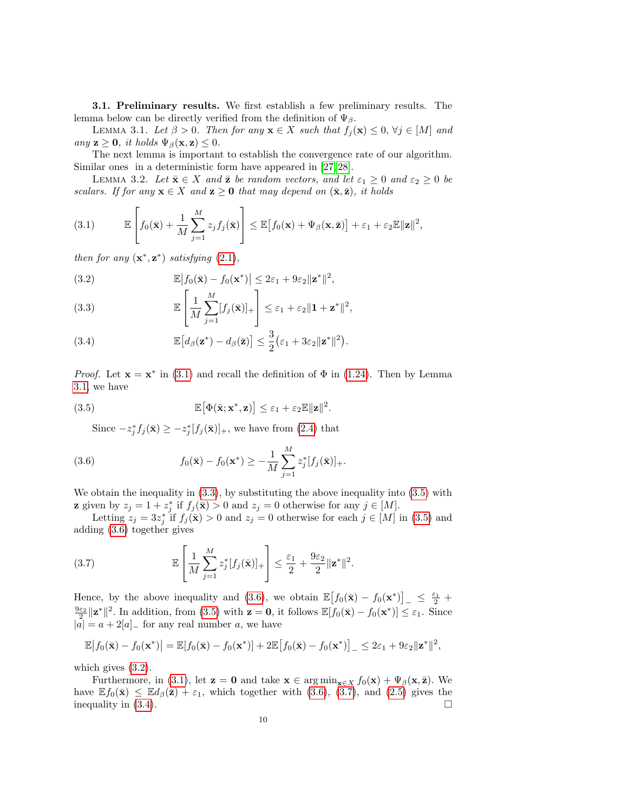<span id="page-9-1"></span>3.1. Preliminary results. We first establish a few preliminary results. The lemma below can be directly verified from the definition of  $\Psi_{\beta}$ .

LEMMA 3.1. Let  $\beta > 0$ . Then for any  $\mathbf{x} \in X$  such that  $f_j(\mathbf{x}) \leq 0$ ,  $\forall j \in [M]$  and any  $\mathbf{z} \geq \mathbf{0}$ , it holds  $\Psi_{\beta}(\mathbf{x}, \mathbf{z}) \leq 0$ .

The next lemma is important to establish the convergence rate of our algorithm. Similar ones in a deterministic form have appeared in [\[27,](#page-27-3) [28\]](#page-27-21).

<span id="page-9-8"></span>LEMMA 3.2. Let  $\bar{\mathbf{x}} \in X$  and  $\bar{\mathbf{z}}$  be random vectors, and let  $\varepsilon_1 \geq 0$  and  $\varepsilon_2 \geq 0$  be scalars. If for any  $\mathbf{x} \in X$  and  $\mathbf{z} \geq \mathbf{0}$  that may depend on  $(\bar{\mathbf{x}}, \bar{\mathbf{z}})$ , it holds

<span id="page-9-0"></span>(3.1) 
$$
\mathbb{E}\left[f_0(\bar{\mathbf{x}})+\frac{1}{M}\sum_{j=1}^M z_j f_j(\bar{\mathbf{x}})\right] \leq \mathbb{E}\left[f_0(\mathbf{x})+\Psi_\beta(\mathbf{x},\bar{\mathbf{z}})\right]+\varepsilon_1+\varepsilon_2 \mathbb{E}\|\mathbf{z}\|^2,
$$

then for any  $(x^*, z^*)$  satisfying  $(2.1)$ ,

<span id="page-9-5"></span>(3.2) 
$$
\mathbb{E}\left|f_0(\bar{\mathbf{x}}) - f_0(\mathbf{x}^*)\right| \leq 2\varepsilon_1 + 9\varepsilon_2 \|\mathbf{z}^*\|^2,
$$

<span id="page-9-2"></span>(3.3) 
$$
\mathbb{E}\left[\frac{1}{M}\sum_{j=1}^{M}[f_j(\bar{\mathbf{x}})]_+\right] \leq \varepsilon_1 + \varepsilon_2\|\mathbf{1} + \mathbf{z}^*\|^2,
$$

<span id="page-9-7"></span>(3.4) 
$$
\mathbb{E}\big[d_{\beta}(\mathbf{z}^*)-d_{\beta}(\bar{\mathbf{z}})\big]\leq \frac{3}{2}\big(\varepsilon_1+3\varepsilon_2\|\mathbf{z}^*\|^2\big).
$$

*Proof.* Let  $\mathbf{x} = \mathbf{x}^*$  in [\(3.1\)](#page-9-0) and recall the definition of  $\Phi$  in [\(1.24\)](#page-7-7). Then by Lemma [3.1,](#page-9-1) we have

(3.5) 
$$
\mathbb{E}[\Phi(\bar{\mathbf{x}}; \mathbf{x}^*, \mathbf{z})] \leq \varepsilon_1 + \varepsilon_2 \mathbb{E} \|\mathbf{z}\|^2.
$$

<span id="page-9-4"></span><span id="page-9-3"></span>Since  $-z_j^* f_j(\bar{\mathbf{x}}) \geq -z_j^* [f_j(\bar{\mathbf{x}})]_+,$  we have from [\(2.4\)](#page-8-3) that

(3.6) 
$$
f_0(\bar{\mathbf{x}}) - f_0(\mathbf{x}^*) \geq -\frac{1}{M} \sum_{j=1}^{M} z_j^* [f_j(\bar{\mathbf{x}})]_+.
$$

We obtain the inequality in  $(3.3)$ , by substituting the above inequality into  $(3.5)$  with **z** given by  $z_j = 1 + z_j^*$  if  $f_j(\bar{\mathbf{x}}) > 0$  and  $z_j = 0$  otherwise for any  $j \in [M]$ .

Letting  $z_j = 3z_j^*$  if  $f_j(\bar{\mathbf{x}}) > 0$  and  $z_j = 0$  otherwise for each  $j \in [M]$  in [\(3.5\)](#page-9-3) and adding [\(3.6\)](#page-9-4) together gives

<span id="page-9-6"></span>(3.7) 
$$
\mathbb{E}\left[\frac{1}{M}\sum_{j=1}^{M}z_j^*[f_j(\bar{\mathbf{x}})]_+\right] \leq \frac{\varepsilon_1}{2} + \frac{9\varepsilon_2}{2}\|\mathbf{z}^*\|^2.
$$

Hence, by the above inequality and [\(3.6\)](#page-9-4), we obtain  $\mathbb{E}\left[f_0(\bar{\mathbf{x}}) - f_0(\mathbf{x}^*)\right]_-\leq \frac{\varepsilon_1}{2}$  $\frac{9\varepsilon_2}{2} ||\mathbf{z}^*||^2$ . In addition, from [\(3.5\)](#page-9-3) with  $\mathbf{z} = \mathbf{0}$ , it follows  $\mathbb{E}[f_0(\bar{\mathbf{x}}) - f_0(\mathbf{x}^*)] \leq \varepsilon_1$ . Since  $|a| = a + 2|a|$  for any real number a, we have

$$
\mathbb{E}\big|f_0(\bar{\mathbf{x}})-f_0(\mathbf{x}^*)\big|=\mathbb{E}\big[f_0(\bar{\mathbf{x}})-f_0(\mathbf{x}^*)\big]+2\mathbb{E}\big[f_0(\bar{\mathbf{x}})-f_0(\mathbf{x}^*)\big]_-\leq 2\varepsilon_1+9\varepsilon_2\|\mathbf{z}^*\|^2,
$$

which gives [\(3.2\)](#page-9-5).

Furthermore, in [\(3.1\)](#page-9-0), let  $\mathbf{z} = \mathbf{0}$  and take  $\mathbf{x} \in \arg\min_{\mathbf{x} \in X} f_0(\mathbf{x}) + \Psi_\beta(\mathbf{x}, \bar{\mathbf{z}})$ . We have  $\mathbb{E} f_0(\bar{\mathbf{x}}) \leq \mathbb{E} d_\beta(\bar{\mathbf{z}}) + \varepsilon_1$ , which together with [\(3.6\)](#page-9-4), [\(3.7\)](#page-9-6), and [\(2.5\)](#page-8-4) gives the inequality in  $(3.4)$ .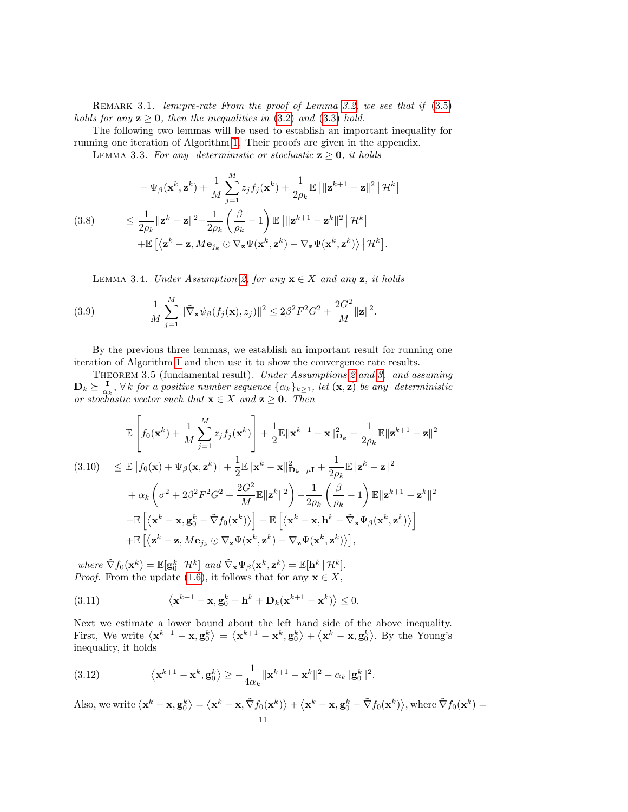<span id="page-10-6"></span>REMARK 3.1. lem: pre-rate From the proof of Lemma [3.2,](#page-9-8) we see that if  $(3.5)$ holds for any  $z \ge 0$ , then the inequalities in [\(3.2\)](#page-9-5) and [\(3.3\)](#page-9-2) hold.

The following two lemmas will be used to establish an important inequality for running one iteration of Algorithm [1.](#page-1-2) Their proofs are given in the appendix.

<span id="page-10-7"></span>LEMMA 3.3. For any deterministic or stochastic  $z \geq 0$ , it holds

<span id="page-10-3"></span>
$$
-\Psi_{\beta}(\mathbf{x}^{k}, \mathbf{z}^{k}) + \frac{1}{M} \sum_{j=1}^{M} z_{j} f_{j}(\mathbf{x}^{k}) + \frac{1}{2\rho_{k}} \mathbb{E} \left[ \|\mathbf{z}^{k+1} - \mathbf{z}\|^{2} \, \|\mathcal{H}^{k} \right]
$$
\n
$$
\leq \frac{1}{2\rho_{k}} \|\mathbf{z}^{k} - \mathbf{z}\|^{2} - \frac{1}{2\rho_{k}} \left( \frac{\beta}{\rho_{k}} - 1 \right) \mathbb{E} \left[ \|\mathbf{z}^{k+1} - \mathbf{z}^{k}\|^{2} \, \|\mathcal{H}^{k} \right]
$$
\n
$$
+ \mathbb{E} \left[ \left\langle \mathbf{z}^{k} - \mathbf{z}, M \mathbf{e}_{j_{k}} \odot \nabla_{\mathbf{z}} \Psi(\mathbf{x}^{k}, \mathbf{z}^{k}) - \nabla_{\mathbf{z}} \Psi(\mathbf{x}^{k}, \mathbf{z}^{k}) \right\rangle \, \|\mathcal{H}^{k} \right].
$$

<span id="page-10-8"></span><span id="page-10-4"></span><span id="page-10-1"></span>LEMMA 3.4. Under Assumption [2,](#page-7-2) for any  $x \in X$  and any z, it holds

(3.9) 
$$
\frac{1}{M}\sum_{j=1}^{M}\|\tilde{\nabla}_{\mathbf{x}}\psi_{\beta}(f_j(\mathbf{x}),z_j)\|^2 \leq 2\beta^2F^2G^2 + \frac{2G^2}{M}\|\mathbf{z}\|^2.
$$

By the previous three lemmas, we establish an important result for running one iteration of Algorithm [1](#page-1-2) and then use it to show the convergence rate results.

THEOREM 3.5 (fundamental result). Under Assumptions [2](#page-7-2) and [3,](#page-8-1) and assuming  $\mathbf{D}_k \succeq \frac{\mathbf{I}}{\alpha_k}$ ,  $\forall k$  for a positive number sequence  $\{\alpha_k\}_{k\geq 1}$ , let  $(\mathbf{x}, \mathbf{z})$  be any deterministic or stochastic vector such that  $\mathbf{x} \in X$  and  $\mathbf{z} \geq \mathbf{0}$ . Then

<span id="page-10-5"></span>
$$
\mathbb{E}\left[f_{0}(\mathbf{x}^{k})+\frac{1}{M}\sum_{j=1}^{M}z_{j}f_{j}(\mathbf{x}^{k})\right]+\frac{1}{2}\mathbb{E}\|\mathbf{x}^{k+1}-\mathbf{x}\|_{\mathbf{D}_{k}}^{2}+\frac{1}{2\rho_{k}}\mathbb{E}\|\mathbf{z}^{k+1}-\mathbf{z}\|^{2}
$$
\n
$$
(3.10) \leq \mathbb{E}\left[f_{0}(\mathbf{x})+\Psi_{\beta}(\mathbf{x},\mathbf{z}^{k})\right]+\frac{1}{2}\mathbb{E}\|\mathbf{x}^{k}-\mathbf{x}\|_{\mathbf{D}_{k}-\mu\mathbf{I}}^{2}+\frac{1}{2\rho_{k}}\mathbb{E}\|\mathbf{z}^{k}-\mathbf{z}\|^{2}
$$
\n
$$
+\alpha_{k}\left(\sigma^{2}+2\beta^{2}F^{2}G^{2}+\frac{2G^{2}}{M}\mathbb{E}\|\mathbf{z}^{k}\|^{2}\right)-\frac{1}{2\rho_{k}}\left(\frac{\beta}{\rho_{k}}-1\right)\mathbb{E}\|\mathbf{z}^{k+1}-\mathbf{z}^{k}\|^{2}
$$
\n
$$
-\mathbb{E}\left[\left\langle\mathbf{x}^{k}-\mathbf{x},\mathbf{g}_{0}^{k}-\tilde{\nabla}f_{0}(\mathbf{x}^{k})\right\rangle\right]-\mathbb{E}\left[\left\langle\mathbf{x}^{k}-\mathbf{x},\mathbf{h}^{k}-\tilde{\nabla}_{\mathbf{x}}\Psi_{\beta}(\mathbf{x}^{k},\mathbf{z}^{k})\right\rangle\right]
$$
\n
$$
+\mathbb{E}\left[\left\langle\mathbf{z}^{k}-\mathbf{z},M\mathbf{e}_{j_{k}}\odot\nabla_{\mathbf{z}}\Psi(\mathbf{x}^{k},\mathbf{z}^{k})-\nabla_{\mathbf{z}}\Psi(\mathbf{x}^{k},\mathbf{z}^{k})\right\rangle\right],
$$

where  $\tilde{\nabla} f_0(\mathbf{x}^k) = \mathbb{E}[\mathbf{g}_0^k | \mathcal{H}^k]$  and  $\tilde{\nabla}_{\mathbf{x}} \Psi_{\beta}(\mathbf{x}^k, \mathbf{z}^k) = \mathbb{E}[\mathbf{h}^k | \mathcal{H}^k].$ *Proof.* From the update [\(1.6\)](#page-1-0), it follows that for any  $\mathbf{x} \in X$ ,

<span id="page-10-2"></span>(3.11) 
$$
\langle \mathbf{x}^{k+1} - \mathbf{x}, \mathbf{g}_0^k + \mathbf{h}^k + \mathbf{D}_k (\mathbf{x}^{k+1} - \mathbf{x}^k) \rangle \leq 0.
$$

Next we estimate a lower bound about the left hand side of the above inequality. First, We write  $\langle \mathbf{x}^{k+1} - \mathbf{x}, \mathbf{g}_0^k \rangle = \langle \mathbf{x}^{k+1} - \mathbf{x}^k, \mathbf{g}_0^k \rangle + \langle \mathbf{x}^k - \mathbf{x}, \mathbf{g}_0^k \rangle$ . By the Young's inequality, it holds

<span id="page-10-0"></span>(3.12) 
$$
\langle \mathbf{x}^{k+1} - \mathbf{x}^k, \mathbf{g}_0^k \rangle \ge -\frac{1}{4\alpha_k} ||\mathbf{x}^{k+1} - \mathbf{x}^k||^2 - \alpha_k ||\mathbf{g}_0^k||^2.
$$

Also, we write  $\langle \mathbf{x}^k - \mathbf{x}, \mathbf{g}_0^k \rangle = \langle \mathbf{x}^k - \mathbf{x}, \tilde{\nabla} f_0(\mathbf{x}^k) \rangle + \langle \mathbf{x}^k - \mathbf{x}, \mathbf{g}_0^k - \tilde{\nabla} f_0(\mathbf{x}^k) \rangle$ , where  $\tilde{\nabla} f_0(\mathbf{x}^k) =$ 11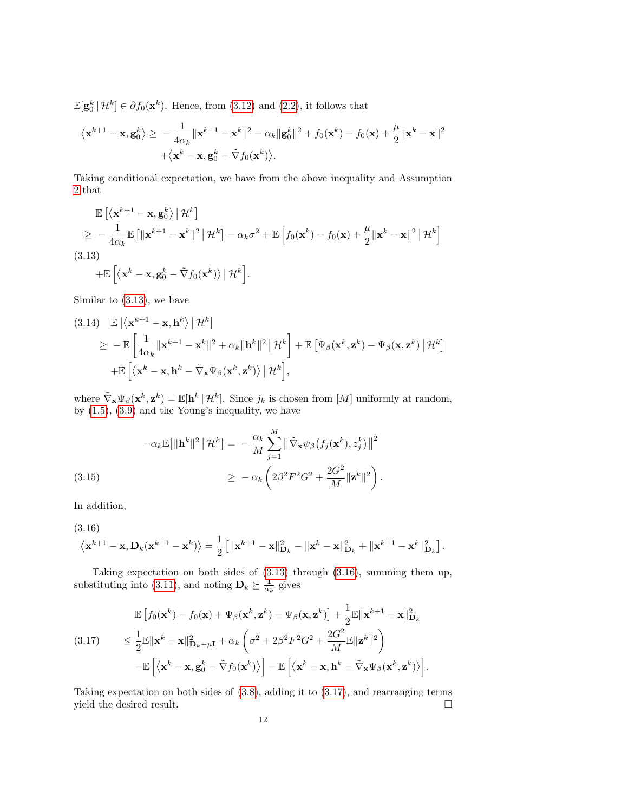$\mathbb{E}[\mathbf{g}_0^k | \mathcal{H}^k] \in \partial f_0(\mathbf{x}^k)$ . Hence, from [\(3.12\)](#page-10-0) and [\(2.2\)](#page-8-5), it follows that

$$
\langle \mathbf{x}^{k+1} - \mathbf{x}, \mathbf{g}_0^k \rangle \ge -\frac{1}{4\alpha_k} \|\mathbf{x}^{k+1} - \mathbf{x}^k\|^2 - \alpha_k \|\mathbf{g}_0^k\|^2 + f_0(\mathbf{x}^k) - f_0(\mathbf{x}) + \frac{\mu}{2} \|\mathbf{x}^k - \mathbf{x}\|^2
$$

$$
+ \langle \mathbf{x}^k - \mathbf{x}, \mathbf{g}_0^k - \tilde{\nabla} f_0(\mathbf{x}^k) \rangle.
$$

Taking conditional expectation, we have from the above inequality and Assumption [2](#page-7-2) that

<span id="page-11-0"></span>
$$
\mathbb{E}\left[\left\langle \mathbf{x}^{k+1} - \mathbf{x}, \mathbf{g}_0^k \right\rangle \middle| \mathcal{H}^k\right] \n\geq -\frac{1}{4\alpha_k} \mathbb{E}\left[\|\mathbf{x}^{k+1} - \mathbf{x}^k\|^2 \middle| \mathcal{H}^k\right] - \alpha_k \sigma^2 + \mathbb{E}\left[f_0(\mathbf{x}^k) - f_0(\mathbf{x}) + \frac{\mu}{2}\|\mathbf{x}^k - \mathbf{x}\|^2 \middle| \mathcal{H}^k\right] \n(3.13) \n+ \mathbb{E}\left[\left\langle \mathbf{x}^k - \mathbf{x}, \mathbf{g}_0^k - \tilde{\nabla} f_0(\mathbf{x}^k) \right\rangle \middle| \mathcal{H}^k\right].
$$

Similar to [\(3.13\)](#page-11-0), we have

(3.14) 
$$
\mathbb{E}\left[\left\langle \mathbf{x}^{k+1} - \mathbf{x}, \mathbf{h}^{k} \right\rangle | \mathcal{H}^{k}\right] \geq -\mathbb{E}\left[\frac{1}{4\alpha_{k}}\|\mathbf{x}^{k+1} - \mathbf{x}^{k}\|^{2} + \alpha_{k}\|\mathbf{h}^{k}\|^{2} | \mathcal{H}^{k}\right] + \mathbb{E}\left[\Psi_{\beta}(\mathbf{x}^{k}, \mathbf{z}^{k}) - \Psi_{\beta}(\mathbf{x}, \mathbf{z}^{k}) | \mathcal{H}^{k}\right] + \mathbb{E}\left[\left\langle \mathbf{x}^{k} - \mathbf{x}, \mathbf{h}^{k} - \tilde{\nabla}_{\mathbf{x}}\Psi_{\beta}(\mathbf{x}^{k}, \mathbf{z}^{k})\right\rangle | \mathcal{H}^{k}\right],
$$

where  $\tilde{\nabla}_{\mathbf{x}}\Psi_{\beta}(\mathbf{x}^k, \mathbf{z}^k) = \mathbb{E}[\mathbf{h}^k | \mathcal{H}^k]$ . Since  $j_k$  is chosen from  $[M]$  uniformly at random, by [\(1.5\)](#page-1-1), [\(3.9\)](#page-10-1) and the Young's inequality, we have

(3.15)  

$$
-\alpha_k \mathbb{E}[\|\mathbf{h}^k\|^2 \,|\, \mathcal{H}^k] = -\frac{\alpha_k}{M} \sum_{j=1}^M \left\|\tilde{\nabla}_{\mathbf{x}} \psi_\beta \big(f_j(\mathbf{x}^k), z_j^k\big)\right\|^2
$$

$$
\geq -\alpha_k \left(2\beta^2 F^2 G^2 + \frac{2G^2}{M} \|\mathbf{z}^k\|^2\right).
$$

<span id="page-11-3"></span>In addition,

<span id="page-11-1"></span>(3.16)

$$
\left\langle \mathbf{x}^{k+1}-\mathbf{x},\mathbf{D}_k(\mathbf{x}^{k+1}-\mathbf{x}^k)\right\rangle=\frac{1}{2}\left[\|\mathbf{x}^{k+1}-\mathbf{x}\|_{\mathbf{D}_k}^2-\|\mathbf{x}^k-\mathbf{x}\|_{\mathbf{D}_k}^2+\|\mathbf{x}^{k+1}-\mathbf{x}^k\|_{\mathbf{D}_k}^2\right].
$$

Taking expectation on both sides of [\(3.13\)](#page-11-0) through [\(3.16\)](#page-11-1), summing them up, substituting into [\(3.11\)](#page-10-2), and noting  $\mathbf{D}_k \succeq \frac{\mathbf{I}}{\alpha_k}$  gives

<span id="page-11-2"></span>
$$
\mathbb{E}\left[f_0(\mathbf{x}^k) - f_0(\mathbf{x}) + \Psi_\beta(\mathbf{x}^k, \mathbf{z}^k) - \Psi_\beta(\mathbf{x}, \mathbf{z}^k)\right] + \frac{1}{2}\mathbb{E}\|\mathbf{x}^{k+1} - \mathbf{x}\|_{\mathbf{D}_k}^2
$$
\n
$$
\leq \frac{1}{2}\mathbb{E}\|\mathbf{x}^k - \mathbf{x}\|_{\mathbf{D}_k - \mu\mathbf{I}}^2 + \alpha_k \left(\sigma^2 + 2\beta^2 F^2 G^2 + \frac{2G^2}{M}\mathbb{E}\|\mathbf{z}^k\|^2\right)
$$
\n
$$
-\mathbb{E}\left[\left\langle \mathbf{x}^k - \mathbf{x}, \mathbf{g}_0^k - \tilde{\nabla} f_0(\mathbf{x}^k)\right\rangle\right] - \mathbb{E}\left[\left\langle \mathbf{x}^k - \mathbf{x}, \mathbf{h}^k - \tilde{\nabla}_\mathbf{x}\Psi_\beta(\mathbf{x}^k, \mathbf{z}^k)\right\rangle\right].
$$

Taking expectation on both sides of [\(3.8\)](#page-10-3), adding it to [\(3.17\)](#page-11-2), and rearranging terms yield the desired result.  $\hfill \square$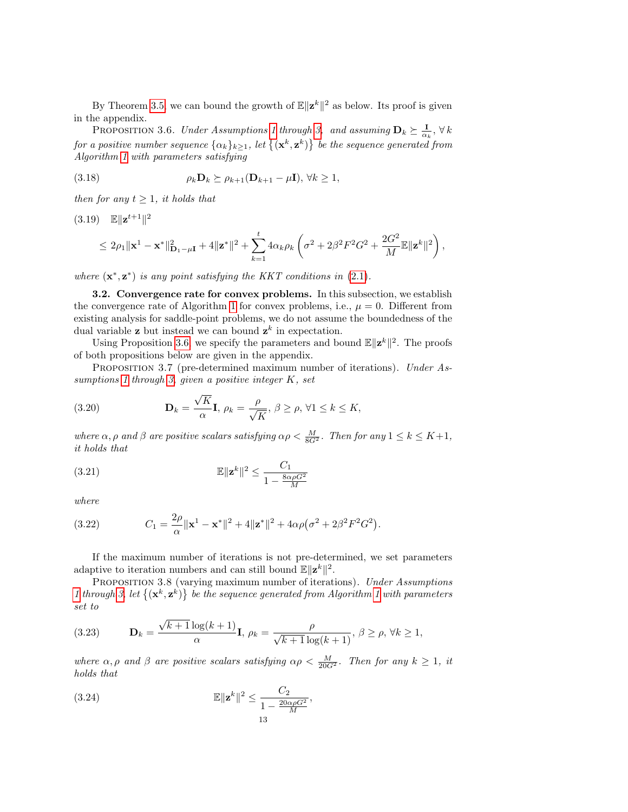<span id="page-12-0"></span>By Theorem [3.5,](#page-10-4) we can bound the growth of  $\mathbb{E} \|\mathbf{z}^k\|^2$  as below. Its proof is given in the appendix.

PROPOSITION 3.6. Under Assumptions [1](#page-7-1) through [3,](#page-8-1) and assuming  $\mathbf{D}_k \succeq \frac{\mathbf{I}}{\alpha_k}$ ,  $\forall k$ for a positive number sequence  $\{\alpha_k\}_{k\geq 1}$ , let  $\{(\mathbf{x}^k, \mathbf{z}^k)\}$  be the sequence generated from Algorithm [1](#page-1-2) with parameters satisfying

<span id="page-12-6"></span>(3.18) 
$$
\rho_k \mathbf{D}_k \succeq \rho_{k+1}(\mathbf{D}_{k+1} - \mu \mathbf{I}), \forall k \ge 1,
$$

then for any  $t \geq 1$ , it holds that

<span id="page-12-8"></span>
$$
(3.19) \quad \mathbb{E}||\mathbf{z}^{t+1}||^2
$$
  
\n
$$
\leq 2\rho_1||\mathbf{x}^1 - \mathbf{x}^*||_{\mathbf{D}_1 - \mu\mathbf{I}}^2 + 4||\mathbf{z}^*||^2 + \sum_{k=1}^t 4\alpha_k \rho_k \left(\sigma^2 + 2\beta^2 F^2 G^2 + \frac{2G^2}{M} \mathbb{E}||\mathbf{z}^k||^2\right),
$$

where  $(\mathbf{x}^*, \mathbf{z}^*)$  is any point satisfying the KKT conditions in [\(2.1\)](#page-7-3).

3.2. Convergence rate for convex problems. In this subsection, we establish the convergence rate of Algorithm [1](#page-1-2) for convex problems, i.e.,  $\mu = 0$ . Different from existing analysis for saddle-point problems, we do not assume the boundedness of the dual variable **z** but instead we can bound  $z^k$  in expectation.

Using Proposition [3.6,](#page-12-0) we specify the parameters and bound  $\mathbb{E} \|\mathbf{z}^k\|^2$ . The proofs of both propositions below are given in the appendix.

<span id="page-12-7"></span>PROPOSITION 3.7 (pre-determined maximum number of iterations). Under As-sumptions [1](#page-7-1) through [3,](#page-8-1) given a positive integer  $K$ , set

<span id="page-12-1"></span>(3.20) 
$$
\mathbf{D}_k = \frac{\sqrt{K}}{\alpha} \mathbf{I}, \ \rho_k = \frac{\rho}{\sqrt{K}}, \ \beta \ge \rho, \ \forall 1 \le k \le K,
$$

where  $\alpha, \rho$  and  $\beta$  are positive scalars satisfying  $\alpha \rho < \frac{M}{8G^2}$ . Then for any  $1 \leq k \leq K+1$ , it holds that

<span id="page-12-3"></span>
$$
\mathbb{E}\|\mathbf{z}^k\|^2 \le \frac{C_1}{1 - \frac{8\alpha\rho G^2}{M}}
$$

where

<span id="page-12-2"></span>(3.22) 
$$
C_1 = \frac{2\rho}{\alpha} ||\mathbf{x}^1 - \mathbf{x}^*||^2 + 4||\mathbf{z}^*||^2 + 4\alpha\rho(\sigma^2 + 2\beta^2 F^2 G^2).
$$

<span id="page-12-9"></span>If the maximum number of iterations is not pre-determined, we set parameters adaptive to iteration numbers and can still bound  $\mathbb{E} \|\mathbf{z}^k\|^2$ .

PROPOSITION 3.8 (varying maximum number of iterations). Under Assumptions [1](#page-7-1) through [3,](#page-8-1) let  $\{(\mathbf{x}^k, \mathbf{z}^k)\}\$  be the sequence generated from Algorithm [1](#page-1-2) with parameters set to

<span id="page-12-4"></span>(3.23) 
$$
\mathbf{D}_k = \frac{\sqrt{k+1}\log(k+1)}{\alpha}\mathbf{I}, \ \rho_k = \frac{\rho}{\sqrt{k+1}\log(k+1)}, \ \beta \ge \rho, \ \forall k \ge 1,
$$

where  $\alpha, \rho$  and  $\beta$  are positive scalars satisfying  $\alpha \rho < \frac{M}{20G^2}$ . Then for any  $k \ge 1$ , it holds that

<span id="page-12-5"></span>(3.24) 
$$
\mathbb{E} \|\mathbf{z}^{k}\|^{2} \leq \frac{C_{2}}{1 - \frac{20\alpha\rho G^{2}}{M}},
$$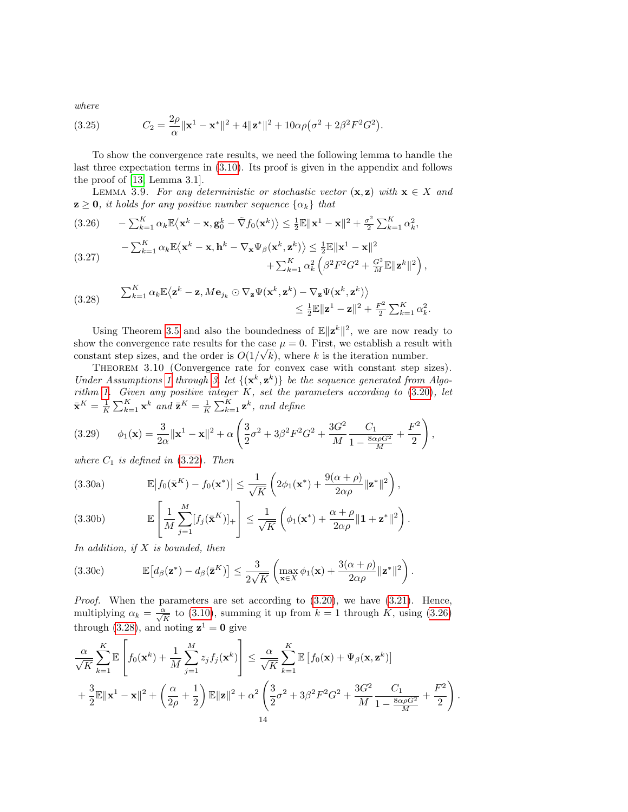where

<span id="page-13-7"></span>(3.25) 
$$
C_2 = \frac{2\rho}{\alpha} ||\mathbf{x}^1 - \mathbf{x}^*||^2 + 4||\mathbf{z}^*||^2 + 10\alpha\rho(\sigma^2 + 2\beta^2 F^2 G^2).
$$

To show the convergence rate results, we need the following lemma to handle the last three expectation terms in [\(3.10\)](#page-10-5). Its proof is given in the appendix and follows the proof of [\[13,](#page-27-9) Lemma 3.1].

<span id="page-13-8"></span>LEMMA 3.9. For any deterministic or stochastic vector  $(x, z)$  with  $x \in X$  and  $z \geq 0$ , it holds for any positive number sequence  $\{\alpha_k\}$  that

<span id="page-13-0"></span>
$$
(3.26) \qquad -\sum_{k=1}^{K} \alpha_k \mathbb{E}\langle \mathbf{x}^k - \mathbf{x}, \mathbf{g}_0^k - \tilde{\nabla} f_0(\mathbf{x}^k) \rangle \le \frac{1}{2} \mathbb{E} \|\mathbf{x}^1 - \mathbf{x}\|^2 + \frac{\sigma^2}{2} \sum_{k=1}^{K} \alpha_k^2,
$$
\n
$$
- \sum_{k=1}^{K} \alpha_k \mathbb{E}\langle \mathbf{x}^k - \mathbf{x}, \mathbf{h}^k - \nabla_{\mathbf{x}} \Psi_{\beta}(\mathbf{x}^k, \mathbf{z}^k) \rangle \le \frac{1}{2} \mathbb{E} \|\mathbf{x}^1 - \mathbf{x}\|^2
$$

<span id="page-13-9"></span>
$$
(3.27) \qquad \sum_{k=1}^{L} \alpha_k \mathbb{E}(\mathbf{x} - \mathbf{x}, \mathbf{n}) \qquad \mathbf{v}_{\mathbf{x} \cdot \mathbf{y}}(\mathbf{x} - \mathbf{x}) / \sum_{2}^{L} \mathbb{E}(\mathbf{x} - \mathbf{x}) + \sum_{k=1}^{K} \alpha_k^2 \left( \beta^2 F^2 G^2 + \frac{G^2}{M} \mathbb{E} \|\mathbf{z}^k\|^2 \right),
$$

<span id="page-13-1"></span>(3.28) 
$$
\sum_{k=1}^{K} \alpha_k \mathbb{E} \langle \mathbf{z}^k - \mathbf{z}, M \mathbf{e}_{j_k} \odot \nabla_{\mathbf{z}} \Psi(\mathbf{x}^k, \mathbf{z}^k) - \nabla_{\mathbf{z}} \Psi(\mathbf{x}^k, \mathbf{z}^k) \rangle \leq \frac{1}{2} \mathbb{E} ||\mathbf{z}^1 - \mathbf{z}||^2 + \frac{F^2}{2} \sum_{k=1}^{K} \alpha_k^2.
$$

Using Theorem [3.5](#page-10-4) and also the boundedness of  $\mathbb{E} \|\mathbf{z}^k\|^2$ , we are now ready to show the convergence rate results for the case  $\mu = 0$ . First, we establish a result with constant step sizes, and the order is  $O(1/\sqrt{k})$ , where k is the iteration number.

<span id="page-13-6"></span>THEOREM 3.10 (Convergence rate for convex case with constant step sizes). Under Assumptions [1](#page-7-1) through [3,](#page-8-1) let  $\{(\mathbf{x}^k, \mathbf{z}^k)\}\$  be the sequence generated from Algo-rithm [1.](#page-1-2) Given any positive integer  $K$ , set the parameters according to  $(3.20)$ , let  $\bar{\mathbf{x}}^K = \frac{1}{K} \sum_{k=1}^K \mathbf{x}^k$  and  $\bar{\mathbf{z}}^K = \frac{1}{K} \sum_{k=1}^K \mathbf{z}^k$ , and define

<span id="page-13-2"></span>
$$
(3.29) \qquad \phi_1(\mathbf{x}) = \frac{3}{2\alpha} ||\mathbf{x}^1 - \mathbf{x}||^2 + \alpha \left( \frac{3}{2}\sigma^2 + 3\beta^2 F^2 G^2 + \frac{3G^2}{M} \frac{C_1}{1 - \frac{8\alpha \rho G^2}{M}} + \frac{F^2}{2} \right),
$$

where  $C_1$  is defined in  $(3.22)$ . Then

<span id="page-13-3"></span>(3.30a) 
$$
\mathbb{E}\left|f_0(\bar{\mathbf{x}}^K) - f_0(\mathbf{x}^*)\right| \leq \frac{1}{\sqrt{K}}\left(2\phi_1(\mathbf{x}^*) + \frac{9(\alpha+\rho)}{2\alpha\rho}||\mathbf{z}^*||^2\right),
$$

<span id="page-13-4"></span>(3.30b) 
$$
\mathbb{E}\left[\frac{1}{M}\sum_{j=1}^{M}[f_j(\bar{\mathbf{x}}^K)]_+\right] \leq \frac{1}{\sqrt{K}}\left(\phi_1(\mathbf{x}^*) + \frac{\alpha+\rho}{2\alpha\rho}\|\mathbf{1} + \mathbf{z}^*\|^2\right).
$$

In addition, if  $X$  is bounded, then

<span id="page-13-5"></span>(3.30c) 
$$
\mathbb{E}\left[d_{\beta}(\mathbf{z}^*) - d_{\beta}(\bar{\mathbf{z}}^K)\right] \leq \frac{3}{2\sqrt{K}} \left(\max_{\mathbf{x}\in X} \phi_1(\mathbf{x}) + \frac{3(\alpha+\rho)}{2\alpha\rho} ||\mathbf{z}^*||^2\right).
$$

Proof. When the parameters are set according to [\(3.20\)](#page-12-1), we have [\(3.21\)](#page-12-3). Hence, multiplying  $\alpha_k = \frac{\alpha}{\sqrt{K}}$  to [\(3.10\)](#page-10-5), summing it up from  $k = 1$  through K, using [\(3.26\)](#page-13-0) through [\(3.28\)](#page-13-1), and noting  $z^1 = 0$  give

$$
\frac{\alpha}{\sqrt{K}}\sum_{k=1}^{K}\mathbb{E}\left[f_0(\mathbf{x}^k)+\frac{1}{M}\sum_{j=1}^{M}z_jf_j(\mathbf{x}^k)\right] \leq \frac{\alpha}{\sqrt{K}}\sum_{k=1}^{K}\mathbb{E}\left[f_0(\mathbf{x})+\Psi_{\beta}(\mathbf{x},\mathbf{z}^k)\right] \n+ \frac{3}{2}\mathbb{E}\|\mathbf{x}^1-\mathbf{x}\|^2+\left(\frac{\alpha}{2\rho}+\frac{1}{2}\right)\mathbb{E}\|\mathbf{z}\|^2+\alpha^2\left(\frac{3}{2}\sigma^2+3\beta^2F^2G^2+\frac{3G^2}{M}\frac{C_1}{1-\frac{8\alpha\rho G^2}{M}}+\frac{F^2}{2}\right).
$$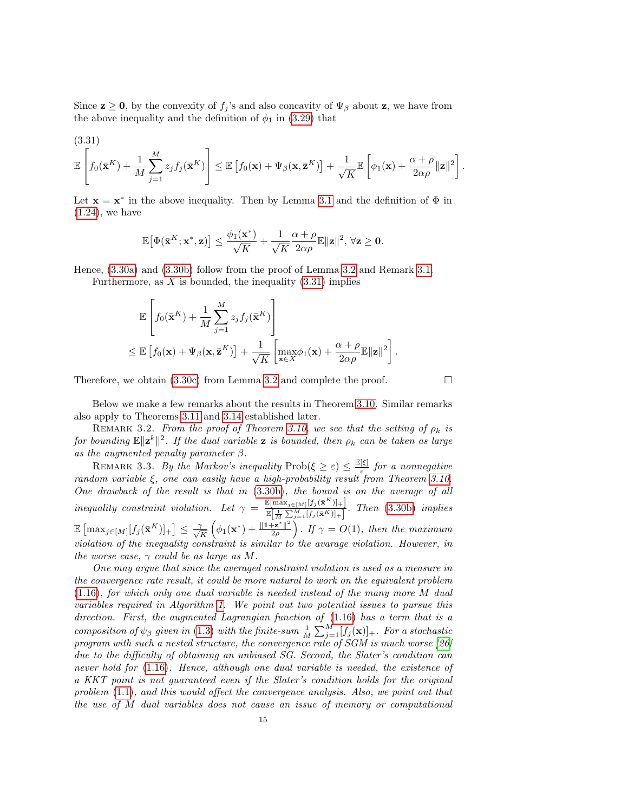Since  $\mathbf{z} \geq \mathbf{0}$ , by the convexity of  $f_j$ 's and also concavity of  $\Psi_\beta$  about  $\mathbf{z}$ , we have from the above inequality and the definition of  $\phi_1$  in [\(3.29\)](#page-13-2) that

<span id="page-14-0"></span>
$$
(3.31)
$$

$$
\mathbb{E}\left[f_0(\bar{\mathbf{x}}^K)+\frac{1}{M}\sum_{j=1}^M z_j f_j(\bar{\mathbf{x}}^K)\right] \leq \mathbb{E}\left[f_0(\mathbf{x})+\Psi_\beta(\mathbf{x},\bar{\mathbf{z}}^K)\right]+\frac{1}{\sqrt{K}}\mathbb{E}\left[\phi_1(\mathbf{x})+\frac{\alpha+\rho}{2\alpha\rho}\|\mathbf{z}\|^2\right].
$$

Let  $\mathbf{x} = \mathbf{x}^*$  in the above inequality. Then by Lemma [3.1](#page-9-1) and the definition of  $\Phi$  in  $(1.24)$ , we have

$$
\mathbb{E}\big[\Phi(\bar{\mathbf{x}}^K;\mathbf{x}^*,\mathbf{z})\big] \leq \frac{\phi_1(\mathbf{x}^*)}{\sqrt{K}} + \frac{1}{\sqrt{K}}\frac{\alpha+\rho}{2\alpha\rho}\mathbb{E}\|\mathbf{z}\|^2, \, \forall \mathbf{z} \geq \mathbf{0}.
$$

Hence, [\(3.30a\)](#page-13-3) and [\(3.30b\)](#page-13-4) follow from the proof of Lemma [3.2](#page-9-8) and Remark [3.1.](#page-10-6) Furthermore, as  $X$  is bounded, the inequality  $(3.31)$  implies

$$
\mathbb{E}\left[f_0(\bar{\mathbf{x}}^K) + \frac{1}{M}\sum_{j=1}^M z_j f_j(\bar{\mathbf{x}}^K)\right]
$$
  
\n
$$
\leq \mathbb{E}\left[f_0(\mathbf{x}) + \Psi_\beta(\mathbf{x}, \bar{\mathbf{z}}^K)\right] + \frac{1}{\sqrt{K}}\left[\max_{\mathbf{x}\in X} \phi_1(\mathbf{x}) + \frac{\alpha + \rho}{2\alpha\rho} \mathbb{E}\|\mathbf{z}\|^2\right].
$$

Therefore, we obtain  $(3.30c)$  from Lemma [3.2](#page-9-8) and complete the proof.

Below we make a few remarks about the results in Theorem [3.10.](#page-13-6) Similar remarks also apply to Theorems [3.11](#page-15-0) and [3.14](#page-16-0) established later.

REMARK 3.2. From the proof of Theorem [3.10,](#page-13-6) we see that the setting of  $\rho_k$  is for bounding  $\mathbb{E} \|\mathbf{z}^k\|^2$ . If the dual variable **z** is bounded, then  $\rho_k$  can be taken as large as the augmented penalty parameter  $\beta$ .

REMARK 3.3. By the Markov's inequality  $\text{Prob}(\xi \geq \varepsilon) \leq \frac{\mathbb{E}[\xi]}{\varepsilon}$  $\frac{|\xi|}{\varepsilon}$  for a nonnegative random variable  $\xi$ , one can easily have a high-probability result from Theorem [3.10.](#page-13-6) One drawback of the result is that in [\(3.30b\)](#page-13-4), the bound is on the average of all inequality constraint violation. Let  $\gamma = \frac{\mathbb{E}[\max_{j\in[M]}[f_j(\bar{\mathbf{x}}^K)]_+]}{\mathbb{E}[\max_{j\in[M],[f_j(\bar{\mathbf{x}}^K)]_+}]}$  $\mathbb{E}[\frac{1}{M}\sum_{j=1}^{M}[f_j(\bar{\mathbf{x}}^K)]_+]$ . Then [\(3.30b\)](#page-13-4) implies  $\mathbb{E}\left[\max_{j\in[M]}[f_j(\bar{\mathbf{x}}^K)]_+\right] \leq \frac{\gamma}{\sqrt{2}}$  $\frac{\gamma}{K}\left(\phi_1({\mathbf{x}}^*) + \frac{\|{\mathbf{1}} + {\mathbf{z}}^*\|^2}{2\rho}\right)$  $\frac{||\mathbf{z}^*||^2}{2\rho}$ . If  $\gamma = O(1)$ , then the maximum violation of the inequality constraint is similar to the avarage violation. However, in the worse case,  $\gamma$  could be as large as M.

One may argue that since the averaged constraint violation is used as a measure in the convergence rate result, it could be more natural to work on the equivalent problem [\(1.16\)](#page-4-1), for which only one dual variable is needed instead of the many more M dual variables required in Algorithm [1.](#page-1-2) We point out two potential issues to pursue this direction. First, the augmented Lagrangian function of [\(1.16\)](#page-4-1) has a term that is a composition of  $\psi_{\beta}$  given in [\(1.3\)](#page-1-4) with the finite-sum  $\frac{1}{M}\sum_{j=1}^{M}[f_j(\mathbf{x})]_+$ . For a stochastic program with such a nested structure, the convergence rate of SGM is much worse [\[26\]](#page-27-26) due to the difficulty of obtaining an unbiased SG. Second, the Slater's condition can never hold for [\(1.16\)](#page-4-1). Hence, although one dual variable is needed, the existence of a KKT point is not guaranteed even if the Slater's condition holds for the original problem [\(1.1\)](#page-0-0), and this would affect the convergence analysis. Also, we point out that the use of M dual variables does not cause an issue of memory or computational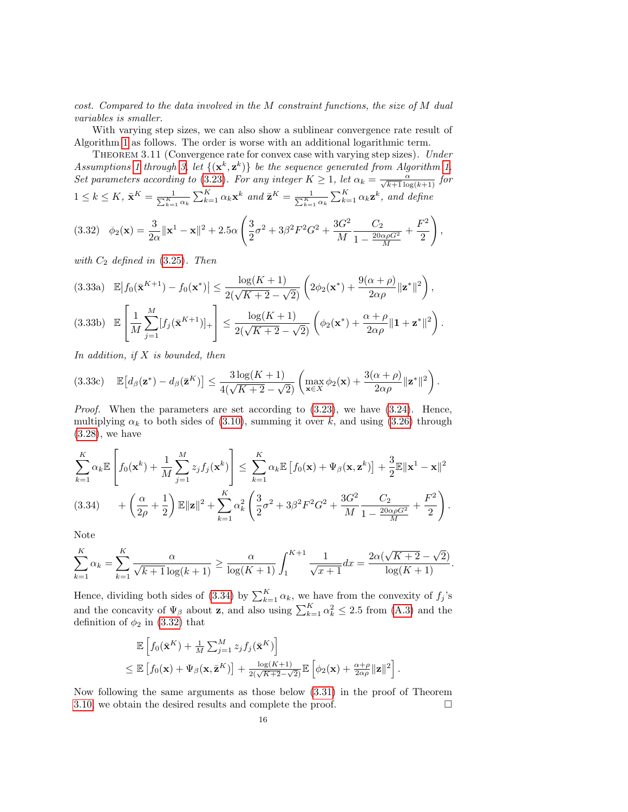cost. Compared to the data involved in the M constraint functions, the size of M dual variables is smaller.

With varying step sizes, we can also show a sublinear convergence rate result of Algorithm [1](#page-1-2) as follows. The order is worse with an additional logarithmic term.

<span id="page-15-0"></span>THEOREM 3.11 (Convergence rate for convex case with varying step sizes). Under Assumptions [1](#page-7-1) through [3,](#page-8-1) let  $\{(\mathbf{x}^k, \mathbf{z}^k)\}\$  be the sequence generated from Algorithm [1.](#page-1-2) Set parameters according to [\(3.23\)](#page-12-4). For any integer  $K \geq 1$ , let  $\alpha_k = \frac{\alpha}{\sqrt{k+1} \log(k+1)}$  for  $1 \leq k \leq K$ ,  $\bar{\mathbf{x}}^K = \frac{1}{\sum_{k=1}^K \alpha_k} \sum_{k=1}^K \alpha_k \mathbf{x}^k$  and  $\bar{\mathbf{z}}^K = \frac{1}{\sum_{k=1}^K \alpha_k} \sum_{k=1}^K \alpha_k \mathbf{z}^k$ , and define

<span id="page-15-2"></span>
$$
(3.32) \quad \phi_2(\mathbf{x}) = \frac{3}{2\alpha} ||\mathbf{x}^1 - \mathbf{x}||^2 + 2.5\alpha \left(\frac{3}{2}\sigma^2 + 3\beta^2 F^2 G^2 + \frac{3G^2}{M} \frac{C_2}{1 - \frac{20\alpha \rho G^2}{M}} + \frac{F^2}{2}\right),
$$

with  $C_2$  defined in  $(3.25)$ . Then

$$
(3.33a) \mathbb{E}\left|f_0(\bar{\mathbf{x}}^{K+1}) - f_0(\mathbf{x}^*)\right| \le \frac{\log(K+1)}{2(\sqrt{K+2} - \sqrt{2})} \left(2\phi_2(\mathbf{x}^*) + \frac{9(\alpha+\rho)}{2\alpha\rho} \|\mathbf{z}^*\|^2\right),
$$
\n
$$
(3.33b) \mathbb{E}\left[\frac{1}{M} \sum_{j=1}^M [f_j(\bar{\mathbf{x}}^{K+1})]_+\right] \le \frac{\log(K+1)}{2(\sqrt{K+2} - \sqrt{2})} \left(\phi_2(\mathbf{x}^*) + \frac{\alpha+\rho}{2\alpha\rho} \|\mathbf{1} + \mathbf{z}^*\|^2\right).
$$

In addition, if  $X$  is bounded, then

$$
(3.33c) \quad \mathbb{E}\big[d_{\beta}(\mathbf{z}^*) - d_{\beta}(\bar{\mathbf{z}}^K)\big] \leq \frac{3\log(K+1)}{4(\sqrt{K+2}-\sqrt{2})}\left(\max_{\mathbf{x}\in X}\phi_2(\mathbf{x}) + \frac{3(\alpha+\rho)}{2\alpha\rho}\|\mathbf{z}^*\|^2\right).
$$

*Proof.* When the parameters are set according to  $(3.23)$ , we have  $(3.24)$ . Hence, multiplying  $\alpha_k$  to both sides of [\(3.10\)](#page-10-5), summing it over k, and using [\(3.26\)](#page-13-0) through [\(3.28\)](#page-13-1), we have

$$
\sum_{k=1}^K \alpha_k \mathbb{E}\left[f_0(\mathbf{x}^k) + \frac{1}{M} \sum_{j=1}^M z_j f_j(\mathbf{x}^k)\right] \le \sum_{k=1}^K \alpha_k \mathbb{E}\left[f_0(\mathbf{x}) + \Psi_\beta(\mathbf{x}, \mathbf{z}^k)\right] + \frac{3}{2} \mathbb{E} \|\mathbf{x}^1 - \mathbf{x}\|^2
$$
\n
$$
(3.34) \qquad + \left(\frac{\alpha}{2\rho} + \frac{1}{2}\right) \mathbb{E} \|\mathbf{z}\|^2 + \sum_{k=1}^K \alpha_k^2 \left(\frac{3}{2}\sigma^2 + 3\beta^2 F^2 G^2 + \frac{3G^2}{M} \frac{C_2}{1 - \frac{20\alpha\rho G^2}{M}} + \frac{F^2}{2}\right).
$$

<span id="page-15-1"></span>Note

$$
\sum_{k=1}^{K} \alpha_k = \sum_{k=1}^{K} \frac{\alpha}{\sqrt{k+1} \log(k+1)} \ge \frac{\alpha}{\log(K+1)} \int_1^{K+1} \frac{1}{\sqrt{x+1}} dx = \frac{2\alpha(\sqrt{K+2} - \sqrt{2})}{\log(K+1)}.
$$

Hence, dividing both sides of [\(3.34\)](#page-15-1) by  $\sum_{k=1}^{K} \alpha_k$ , we have from the convexity of  $f_j$ 's and the concavity of  $\Psi_{\beta}$  about **z**, and also using  $\sum_{k=1}^{K} \alpha_k^2 \leq 2.5$  from [\(A.3\)](#page-23-0) and the definition of  $\phi_2$  in [\(3.32\)](#page-15-2) that

$$
\mathbb{E}\left[f_0(\bar{\mathbf{x}}^K) + \frac{1}{M}\sum_{j=1}^M z_j f_j(\bar{\mathbf{x}}^K)\right] \leq \mathbb{E}\left[f_0(\mathbf{x}) + \Psi_\beta(\mathbf{x}, \bar{\mathbf{z}}^K)\right] + \frac{\log(K+1)}{2(\sqrt{K+2}-\sqrt{2})}\mathbb{E}\left[\phi_2(\mathbf{x}) + \frac{\alpha+\rho}{2\alpha\rho}\|\mathbf{z}\|^2\right].
$$

Now following the same arguments as those below [\(3.31\)](#page-14-0) in the proof of Theorem [3.10,](#page-13-6) we obtain the desired results and complete the proof.  $\Box$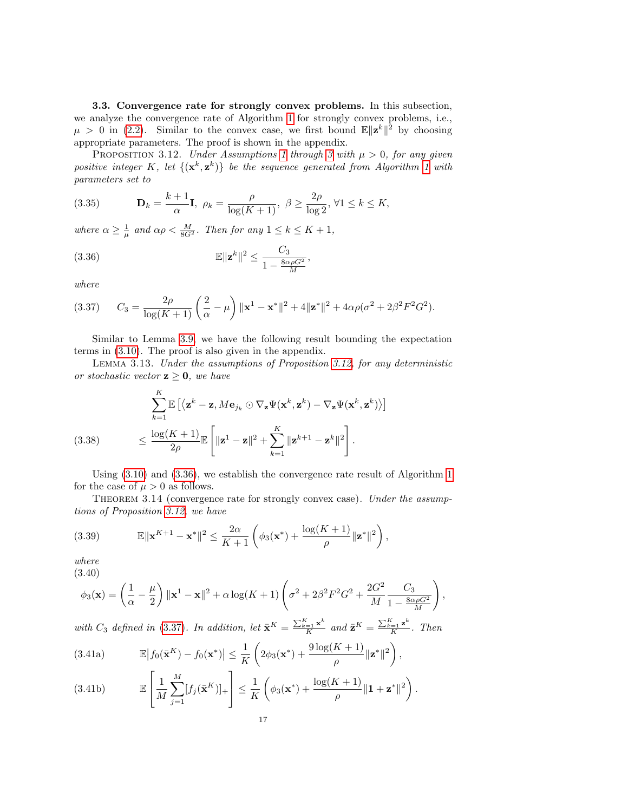3.3. Convergence rate for strongly convex problems. In this subsection, we analyze the convergence rate of Algorithm [1](#page-1-2) for strongly convex problems, i.e.,  $\mu > 0$  in [\(2.2\)](#page-8-5). Similar to the convex case, we first bound  $\mathbb{E} \|\mathbf{z}^k\|^2$  by choosing appropriate parameters. The proof is shown in the appendix.

<span id="page-16-1"></span>PROPOSITION 3.12. Under Assumptions [1](#page-7-1) through [3](#page-8-1) with  $\mu > 0$ , for any given positive integer K, let  $\{(\mathbf{x}^k, \mathbf{z}^k)\}\$  be the sequence generated from Algorithm [1](#page-1-2) with parameters set to

<span id="page-16-7"></span>(3.35) 
$$
\mathbf{D}_k = \frac{k+1}{\alpha} \mathbf{I}, \ \rho_k = \frac{\rho}{\log(K+1)}, \ \beta \ge \frac{2\rho}{\log 2}, \ \forall 1 \le k \le K,
$$

where  $\alpha \geq \frac{1}{\mu}$  and  $\alpha \rho < \frac{M}{8G^2}$ . Then for any  $1 \leq k \leq K + 1$ ,

<span id="page-16-2"></span>
$$
\mathbb{E}\|\mathbf{z}^k\|^2 \le \frac{C_3}{1 - \frac{8\alpha\rho G^2}{M}},
$$

where

<span id="page-16-3"></span>
$$
(3.37) \tC_3 = \frac{2\rho}{\log(K+1)} \left(\frac{2}{\alpha} - \mu\right) \|\mathbf{x}^1 - \mathbf{x}^*\|^2 + 4\|\mathbf{z}^*\|^2 + 4\alpha\rho(\sigma^2 + 2\beta^2 F^2 G^2).
$$

Similar to Lemma [3.9,](#page-13-8) we have the following result bounding the expectation terms in [\(3.10\)](#page-10-5). The proof is also given in the appendix.

<span id="page-16-4"></span>Lemma 3.13. Under the assumptions of Proposition [3.12,](#page-16-1) for any deterministic or stochastic vector  $z \geq 0$ , we have

<span id="page-16-8"></span>
$$
\sum_{k=1}^{K} \mathbb{E} \left[ \langle \mathbf{z}^k - \mathbf{z}, M \mathbf{e}_{j_k} \odot \nabla_{\mathbf{z}} \Psi(\mathbf{x}^k, \mathbf{z}^k) - \nabla_{\mathbf{z}} \Psi(\mathbf{x}^k, \mathbf{z}^k) \rangle \right]
$$
\n
$$
\leq \frac{\log(K+1)}{2\rho} \mathbb{E} \left[ \|\mathbf{z}^1 - \mathbf{z}\|^2 + \sum_{k=1}^{K} \|\mathbf{z}^{k+1} - \mathbf{z}^k\|^2 \right].
$$

<span id="page-16-0"></span>Using [\(3.10\)](#page-10-5) and [\(3.36\)](#page-16-2), we establish the convergence rate result of Algorithm [1](#page-1-2) for the case of  $\mu > 0$  as follows.

THEOREM 3.14 (convergence rate for strongly convex case). Under the assumptions of Proposition [3.12,](#page-16-1) we have

<span id="page-16-6"></span>(3.39) 
$$
\mathbb{E} \|\mathbf{x}^{K+1} - \mathbf{x}^*\|^2 \leq \frac{2\alpha}{K+1} \left( \phi_3(\mathbf{x}^*) + \frac{\log(K+1)}{\rho} \|\mathbf{z}^*\|^2 \right),
$$

where (3.40)

<span id="page-16-5"></span>
$$
\phi_3(\mathbf{x}) = \left(\frac{1}{\alpha} - \frac{\mu}{2}\right) \|\mathbf{x}^1 - \mathbf{x}\|^2 + \alpha \log(K+1) \left(\sigma^2 + 2\beta^2 F^2 G^2 + \frac{2G^2}{M} \frac{C_3}{1 - \frac{8\alpha \rho G^2}{M}}\right)
$$

,

with  $C_3$  defined in [\(3.37\)](#page-16-3). In addition, let  $\bar{\mathbf{x}}^K = \frac{\sum_{k=1}^K \mathbf{x}^k}{K}$  $\frac{c_{-1} \mathbf{x}^k}{K}$  and  $\bar{\mathbf{z}}^K = \frac{\sum_{k=1}^K \mathbf{z}^k}{K}$  $\frac{=1}{K}$ . Then

(3.41a) 
$$
\mathbb{E}\left|f_0(\bar{\mathbf{x}}^K) - f_0(\mathbf{x}^*)\right| \leq \frac{1}{K}\left(2\phi_3(\mathbf{x}^*) + \frac{9\log(K+1)}{\rho}\|\mathbf{z}^*\|^2\right),
$$

(3.41b) 
$$
\mathbb{E}\left[\frac{1}{M}\sum_{j=1}^{M}[f_j(\bar{\mathbf{x}}^K)]_+\right] \leq \frac{1}{K}\left(\phi_3(\mathbf{x}^*) + \frac{\log(K+1)}{\rho}\|\mathbf{1} + \mathbf{z}^*\|^2\right).
$$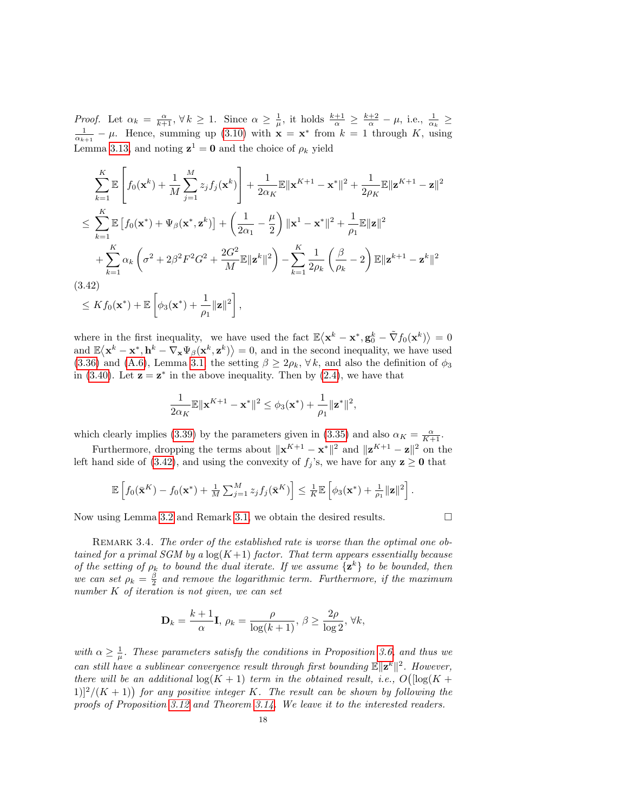Proof. Let  $\alpha_k = \frac{\alpha}{k+1}, \forall k \geq 1$ . Since  $\alpha \geq \frac{1}{\mu}$ , it holds  $\frac{k+1}{\alpha} \geq \frac{k+2}{\alpha} - \mu$ , i.e.,  $\frac{1}{\alpha_k} \geq$  $\frac{1}{\alpha_{k+1}} - \mu$ . Hence, summing up [\(3.10\)](#page-10-5) with  $\mathbf{x} = \mathbf{x}^*$  from  $k = 1$  through K, using Lemma [3.13,](#page-16-4) and noting  $z^1 = 0$  and the choice of  $\rho_k$  yield

$$
\sum_{k=1}^{K} \mathbb{E}\left[f_0(\mathbf{x}^k) + \frac{1}{M} \sum_{j=1}^{M} z_j f_j(\mathbf{x}^k)\right] + \frac{1}{2\alpha_K} \mathbb{E} \|\mathbf{x}^{K+1} - \mathbf{x}^*\|^2 + \frac{1}{2\rho_K} \mathbb{E} \|\mathbf{z}^{K+1} - \mathbf{z}\|^2
$$
\n
$$
\leq \sum_{k=1}^{K} \mathbb{E}\left[f_0(\mathbf{x}^*) + \Psi_\beta(\mathbf{x}^*, \mathbf{z}^k)\right] + \left(\frac{1}{2\alpha_1} - \frac{\mu}{2}\right) \|\mathbf{x}^1 - \mathbf{x}^*\|^2 + \frac{1}{\rho_1} \mathbb{E} \|\mathbf{z}\|^2
$$
\n
$$
+ \sum_{k=1}^{K} \alpha_k \left(\sigma^2 + 2\beta^2 F^2 G^2 + \frac{2G^2}{M} \mathbb{E} \|\mathbf{z}^k\|^2\right) - \sum_{k=1}^{K} \frac{1}{2\rho_k} \left(\frac{\beta}{\rho_k} - 2\right) \mathbb{E} \|\mathbf{z}^{k+1} - \mathbf{z}^k\|^2
$$
\n(3.42)\n
$$
\leq K f_0(\mathbf{x}^*) + \mathbb{E} \left[\phi_3(\mathbf{x}^*) + \frac{1}{\rho_1} \|\mathbf{z}\|^2\right],
$$

<span id="page-17-1"></span>where in the first inequality, we have used the fact  $\mathbb{E}\langle \mathbf{x}^k - \mathbf{x}^*, \mathbf{g}_0^k - \tilde{\nabla}f_0(\mathbf{x}^k) \rangle = 0$ 

and  $\mathbb{E}\langle \mathbf{x}^k - \mathbf{x}^*, \mathbf{h}^k - \nabla_{\mathbf{x}} \Psi_{\beta}(\mathbf{x}^k, \mathbf{z}^k) \rangle = 0$ , and in the second inequality, we have used [\(3.36\)](#page-16-2) and [\(A.6\)](#page-24-0), Lemma [3.1,](#page-9-1) the setting  $\beta \geq 2\rho_k$ ,  $\forall k$ , and also the definition of  $\phi_3$ in [\(3.40\)](#page-16-5). Let  $z = z^*$  in the above inequality. Then by [\(2.4\)](#page-8-3), we have that

$$
\frac{1}{2\alpha_K} \mathbb{E} \|\mathbf{x}^{K+1} - \mathbf{x}^*\|^2 \leq \phi_3(\mathbf{x}^*) + \frac{1}{\rho_1} \|\mathbf{z}^*\|^2,
$$

which clearly implies [\(3.39\)](#page-16-6) by the parameters given in [\(3.35\)](#page-16-7) and also  $\alpha_K = \frac{\alpha}{K+1}$ .

Furthermore, dropping the terms about  $||\mathbf{x}^{K+1} - \mathbf{x}^*||^2$  and  $||\mathbf{z}^{K+1} - \mathbf{z}||^2$  on the left hand side of [\(3.42\)](#page-17-1), and using the convexity of  $f_j$ 's, we have for any  $z \ge 0$  that

$$
\mathbb{E}\left[f_0(\bar{\mathbf{x}}^K) - f_0(\mathbf{x}^*) + \frac{1}{M}\sum_{j=1}^M z_j f_j(\bar{\mathbf{x}}^K)\right] \leq \frac{1}{K} \mathbb{E}\left[\phi_3(\mathbf{x}^*) + \frac{1}{\rho_1} ||\mathbf{z}||^2\right].
$$

Now using Lemma [3.2](#page-9-8) and Remark [3.1,](#page-10-6) we obtain the desired results.  $\square$ 

<span id="page-17-0"></span>REMARK 3.4. The order of the established rate is worse than the optimal one obtained for a primal SGM by a  $log(K+1)$  factor. That term appears essentially because of the setting of  $\rho_k$  to bound the dual iterate. If we assume  $\{z^k\}$  to be bounded, then

we can set  $\rho_k = \frac{\beta}{2}$  and remove the logarithmic term. Furthermore, if the maximum  $\emph{number $K$ of iteration is not given, we can set}$ 

$$
\mathbf{D}_k = \frac{k+1}{\alpha} \mathbf{I}, \, \rho_k = \frac{\rho}{\log(k+1)}, \, \beta \ge \frac{2\rho}{\log 2}, \, \forall k,
$$

with  $\alpha \geq \frac{1}{\mu}$ . These parameters satisfy the conditions in Proposition [3.6,](#page-12-0) and thus we can still have a sublinear convergence result through first bounding  $\mathbb{E} \|\mathbf{z}^k\|^2$ . However, there will be an additional  $\log(K + 1)$  term in the obtained result, i.e.,  $O(|\log(K + 1)|)$  $1$ ]<sup>2</sup>/(K + 1)) for any positive integer K. The result can be shown by following the proofs of Proposition [3.12](#page-16-1) and Theorem [3.14.](#page-16-0) We leave it to the interested readers.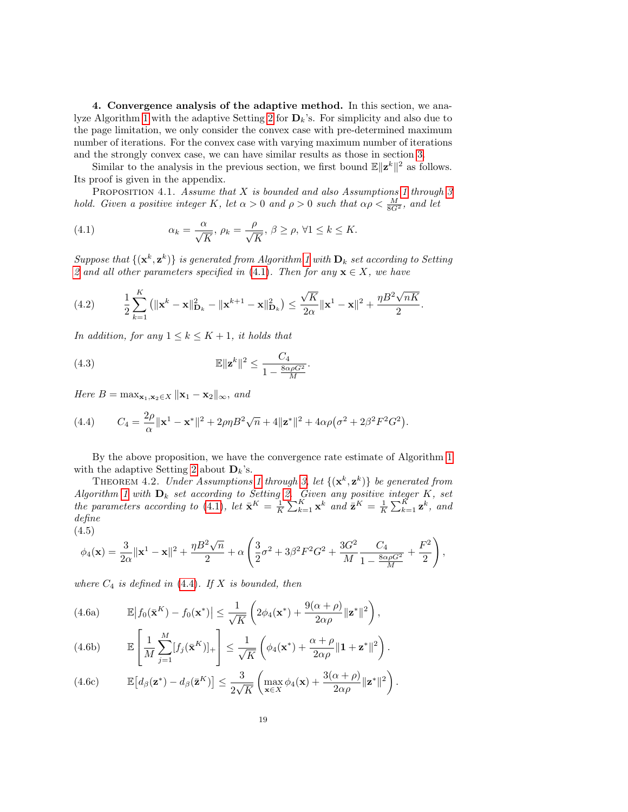<span id="page-18-0"></span>4. Convergence analysis of the adaptive method. In this section, we ana-lyze Algorithm [1](#page-1-2) with the adaptive Setting [2](#page-1-3) for  $\mathbf{D}_k$ 's. For simplicity and also due to the page limitation, we only consider the convex case with pre-determined maximum number of iterations. For the convex case with varying maximum number of iterations and the strongly convex case, we can have similar results as those in section [3.](#page-8-0)

Similar to the analysis in the previous section, we first bound  $\mathbb{E} \|\mathbf{z}^k\|^2$  as follows. Its proof is given in the appendix.

<span id="page-18-5"></span>PROPOSITION 4.1. Assume that  $X$  is bounded and also Assumptions [1](#page-7-1) through  $3$ hold. Given a positive integer K, let  $\alpha > 0$  and  $\rho > 0$  such that  $\alpha \rho < \frac{M}{8G^2}$ , and let

<span id="page-18-1"></span>(4.1) 
$$
\alpha_k = \frac{\alpha}{\sqrt{K}}, \ \rho_k = \frac{\rho}{\sqrt{K}}, \ \beta \ge \rho, \ \forall 1 \le k \le K.
$$

Suppose that  $\{(\mathbf{x}^k, \mathbf{z}^k)\}$  is generated from Algorithm [1](#page-1-2) with  $\mathbf{D}_k$  set according to Setting [2](#page-1-3) and all other parameters specified in [\(4.1\)](#page-18-1). Then for any  $\mathbf{x} \in X$ , we have

<span id="page-18-3"></span>(4.2) 
$$
\frac{1}{2}\sum_{k=1}^K (||\mathbf{x}^k - \mathbf{x}||_{\mathbf{D}_k}^2 - ||\mathbf{x}^{k+1} - \mathbf{x}||_{\mathbf{D}_k}^2) \leq \frac{\sqrt{K}}{2\alpha} ||\mathbf{x}^1 - \mathbf{x}||^2 + \frac{\eta B^2 \sqrt{nK}}{2}.
$$

In addition, for any  $1 \leq k \leq K+1$ , it holds that

<span id="page-18-4"></span>(4.3) 
$$
\mathbb{E} \|\mathbf{z}^{k}\|^2 \leq \frac{C_4}{1 - \frac{8\alpha\rho G^2}{M}}.
$$

Here  $B = \max_{\mathbf{x}_1, \mathbf{x}_2 \in X} \|\mathbf{x}_1 - \mathbf{x}_2\|_{\infty}$ , and

<span id="page-18-2"></span>(4.4) 
$$
C_4 = \frac{2\rho}{\alpha} ||\mathbf{x}^1 - \mathbf{x}^*||^2 + 2\rho\eta B^2 \sqrt{n} + 4||\mathbf{z}^*||^2 + 4\alpha\rho(\sigma^2 + 2\beta^2 F^2 G^2).
$$

<span id="page-18-6"></span>By the above proposition, we have the convergence rate estimate of Algorithm [1](#page-1-2) with the adaptive Setting [2](#page-1-3) about  $\mathbf{D}_k$ 's.

THEOREM 4.2. Under Assumptions [1](#page-7-1) through [3,](#page-8-1) let  ${(\mathbf{x}^k, \mathbf{z}^k)}$  be generated from Algorithm [1](#page-1-2) with  $D_k$  set according to Setting [2.](#page-1-3) Given any positive integer K, set the parameters according to [\(4.1\)](#page-18-1), let  $\bar{\mathbf{x}}^K = \frac{1}{K} \sum_{k=1}^K \mathbf{x}^k$  and  $\bar{\mathbf{z}}^K = \frac{1}{K} \sum_{k=1}^K \mathbf{z}^k$ , and define (4.5)

$$
\phi_4(\mathbf{x}) = \frac{3}{2\alpha} ||\mathbf{x}^1 - \mathbf{x}||^2 + \frac{\eta B^2 \sqrt{n}}{2} + \alpha \left( \frac{3}{2} \sigma^2 + 3\beta^2 F^2 G^2 + \frac{3G^2}{M} \frac{C_4}{1 - \frac{8\alpha \rho G^2}{M}} + \frac{F^2}{2} \right),
$$

where  $C_4$  is defined in [\(4.4\)](#page-18-2). If X is bounded, then

(4.6a) 
$$
\mathbb{E}\left|f_0(\bar{\mathbf{x}}^K) - f_0(\mathbf{x}^*)\right| \leq \frac{1}{\sqrt{K}}\left(2\phi_4(\mathbf{x}^*) + \frac{9(\alpha+\rho)}{2\alpha\rho}\|\mathbf{z}^*\|^2\right),
$$

(4.6b) 
$$
\mathbb{E}\left[\frac{1}{M}\sum_{j=1}^{M}[f_j(\bar{\mathbf{x}}^K)]_+\right] \leq \frac{1}{\sqrt{K}}\left(\phi_4(\mathbf{x}^*) + \frac{\alpha+\rho}{2\alpha\rho}\|\mathbf{1} + \mathbf{z}^*\|^2\right).
$$

(4.6c) 
$$
\mathbb{E}\left[d_{\beta}(\mathbf{z}^*)-d_{\beta}(\bar{\mathbf{z}}^K)\right] \leq \frac{3}{2\sqrt{K}}\left(\max_{\mathbf{x}\in X}\phi_4(\mathbf{x})+\frac{3(\alpha+\rho)}{2\alpha\rho}\|\mathbf{z}^*\|^2\right).
$$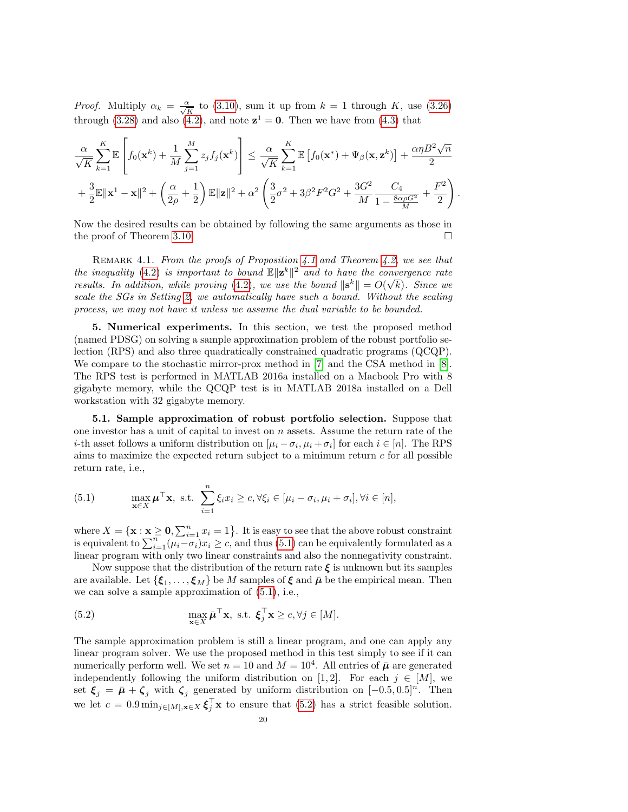*Proof.* Multiply  $\alpha_k = \frac{\alpha}{\sqrt{K}}$  to [\(3.10\)](#page-10-5), sum it up from  $k = 1$  through K, use [\(3.26\)](#page-13-0) through [\(3.28\)](#page-13-1) and also [\(4.2\)](#page-18-3), and note  $z^1 = 0$ . Then we have from [\(4.3\)](#page-18-4) that

$$
\frac{\alpha}{\sqrt{K}}\sum_{k=1}^K \mathbb{E}\left[f_0(\mathbf{x}^k) + \frac{1}{M}\sum_{j=1}^M z_j f_j(\mathbf{x}^k)\right] \leq \frac{\alpha}{\sqrt{K}}\sum_{k=1}^K \mathbb{E}\left[f_0(\mathbf{x}^*) + \Psi_\beta(\mathbf{x}, \mathbf{z}^k)\right] + \frac{\alpha \eta B^2 \sqrt{n}}{2} \n+ \frac{3}{2} \mathbb{E}\|\mathbf{x}^1 - \mathbf{x}\|^2 + \left(\frac{\alpha}{2\rho} + \frac{1}{2}\right) \mathbb{E}\|\mathbf{z}\|^2 + \alpha^2 \left(\frac{3}{2}\sigma^2 + 3\beta^2 F^2 G^2 + \frac{3G^2}{M} \frac{C_4}{1 - \frac{8\alpha \rho G^2}{M}} + \frac{F^2}{2}\right).
$$

Now the desired results can be obtained by following the same arguments as those in the proof of Theorem [3.10.](#page-13-6)

REMARK [4.1](#page-18-5). From the proofs of Proposition 4.1 and Theorem [4.2,](#page-18-6) we see that the inequality [\(4.2\)](#page-18-3) is important to bound  $\mathbb{E} \|\mathbf{z}^k\|^2$  and to have the convergence rate results. In addition, while proving [\(4.2\)](#page-18-3), we use the bound  $\|\mathbf{s}^k\| = O(\sqrt{k})$ . Since we scale the SGs in Setting [2,](#page-1-3) we automatically have such a bound. Without the scaling process, we may not have it unless we assume the dual variable to be bounded.

<span id="page-19-0"></span>5. Numerical experiments. In this section, we test the proposed method (named PDSG) on solving a sample approximation problem of the robust portfolio selection (RPS) and also three quadratically constrained quadratic programs (QCQP). We compare to the stochastic mirror-prox method in [\[7\]](#page-27-7) and the CSA method in [\[8\]](#page-27-12). The RPS test is performed in MATLAB 2016a installed on a Macbook Pro with 8 gigabyte memory, while the QCQP test is in MATLAB 2018a installed on a Dell workstation with 32 gigabyte memory.

5.1. Sample approximation of robust portfolio selection. Suppose that one investor has a unit of capital to invest on  $n$  assets. Assume the return rate of the *i*-th asset follows a uniform distribution on  $[\mu_i - \sigma_i, \mu_i + \sigma_i]$  for each  $i \in [n]$ . The RPS aims to maximize the expected return subject to a minimum return  $c$  for all possible return rate, i.e.,

<span id="page-19-1"></span>(5.1) 
$$
\max_{\mathbf{x}\in X} \boldsymbol{\mu}^{\top}\mathbf{x}, \text{ s.t. } \sum_{i=1}^{n} \xi_i x_i \geq c, \forall \xi_i \in [\mu_i - \sigma_i, \mu_i + \sigma_i], \forall i \in [n],
$$

where  $X = \{ \mathbf{x} : \mathbf{x} \geq \mathbf{0}, \sum_{i=1}^{n} x_i = 1 \}$ . It is easy to see that the above robust constraint is equivalent to  $\sum_{i=1}^{n} (\mu_i - \sigma_i)x_i \geq c$ , and thus [\(5.1\)](#page-19-1) can be equivalently formulated as a linear program with only two linear constraints and also the nonnegativity constraint.

Now suppose that the distribution of the return rate  $\xi$  is unknown but its samples are available. Let  $\{\boldsymbol{\xi}_1,\ldots,\boldsymbol{\xi}_M\}$  be  $M$  samples of  $\boldsymbol{\xi}$  and  $\bar{\boldsymbol{\mu}}$  be the empirical mean. Then we can solve a sample approximation of [\(5.1\)](#page-19-1), i.e.,

<span id="page-19-2"></span>(5.2) 
$$
\max_{\mathbf{x} \in X} \bar{\boldsymbol{\mu}}^{\top} \mathbf{x}, \text{ s.t. } \boldsymbol{\xi}_j^{\top} \mathbf{x} \ge c, \forall j \in [M].
$$

The sample approximation problem is still a linear program, and one can apply any linear program solver. We use the proposed method in this test simply to see if it can numerically perform well. We set  $n = 10$  and  $M = 10<sup>4</sup>$ . All entries of  $\bar{\mu}$  are generated independently following the uniform distribution on [1, 2]. For each  $j \in [M]$ , we set  $\xi_j = \bar{\mu} + \zeta_j$  with  $\zeta_j$  generated by uniform distribution on  $[-0.5, 0.5]^n$ . Then we let  $c = 0.9 \min_{j \in [M], \mathbf{x} \in X} \boldsymbol{\xi}_j^{\top} \mathbf{x}$  to ensure that [\(5.2\)](#page-19-2) has a strict feasible solution.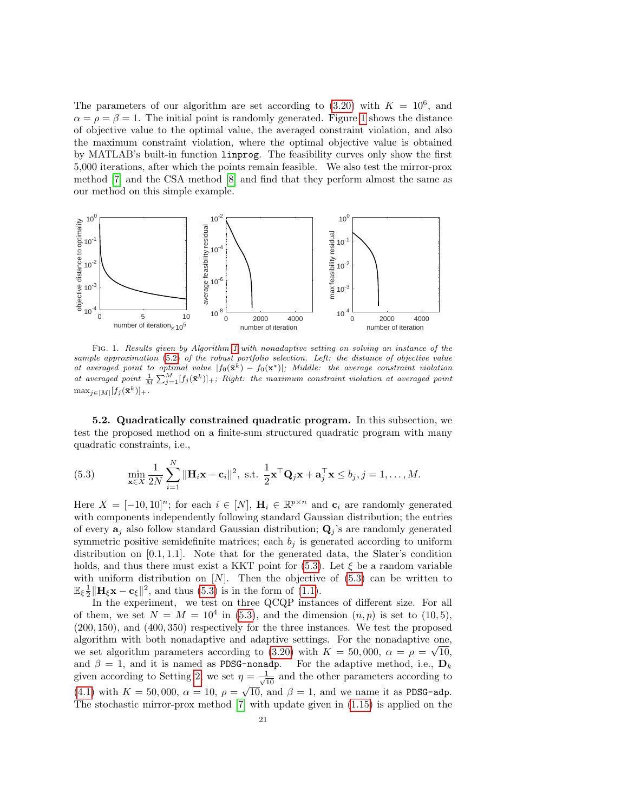The parameters of our algorithm are set according to  $(3.20)$  with  $K = 10^6$ , and  $\alpha = \rho = \beta = 1$  $\alpha = \rho = \beta = 1$ . The initial point is randomly generated. Figure 1 shows the distance of objective value to the optimal value, the averaged constraint violation, and also the maximum constraint violation, where the optimal objective value is obtained by MATLAB's built-in function linprog. The feasibility curves only show the first 5,000 iterations, after which the points remain feasible. We also test the mirror-prox method [\[7\]](#page-27-7) and the CSA method [\[8\]](#page-27-12) and find that they perform almost the same as our method on this simple example.



<span id="page-20-0"></span>Fig. 1. Results given by Algorithm [1](#page-1-2) with nonadaptive setting on solving an instance of the sample approximation [\(5.2\)](#page-19-2) of the robust portfolio selection. Left: the distance of objective value at averaged point to optimal value  $|f_0(\tilde{\mathbf{x}}^k) - f_0(\mathbf{x}^*)|$ ; Middle: the average constraint violation at averaged point  $\frac{1}{M}\sum_{j=1}^{M} [f_j(\bar{\mathbf{x}}^k)]_+$ ; Right: the maximum constraint violation at averaged point  $\max_{j\in[M]}[f_j(\bar{\mathbf{x}}^k)]_+.$ 

5.2. Quadratically constrained quadratic program. In this subsection, we test the proposed method on a finite-sum structured quadratic program with many quadratic constraints, i.e.,

<span id="page-20-1"></span>(5.3) 
$$
\min_{\mathbf{x}\in X} \frac{1}{2N} \sum_{i=1}^N \|\mathbf{H}_i \mathbf{x} - \mathbf{c}_i\|^2, \text{ s.t. } \frac{1}{2} \mathbf{x}^\top \mathbf{Q}_j \mathbf{x} + \mathbf{a}_j^\top \mathbf{x} \le b_j, j = 1, ..., M.
$$

Here  $X = [-10, 10]^n$ ; for each  $i \in [N]$ ,  $\mathbf{H}_i \in \mathbb{R}^{p \times n}$  and  $\mathbf{c}_i$  are randomly generated with components independently following standard Gaussian distribution; the entries of every  $a_j$  also follow standard Gaussian distribution;  $Q_j$ 's are randomly generated symmetric positive semidefinite matrices; each  $b_j$  is generated according to uniform distribution on  $[0.1, 1.1]$ . Note that for the generated data, the Slater's condition holds, and thus there must exist a KKT point for  $(5.3)$ . Let  $\xi$  be a random variable with uniform distribution on  $[N]$ . Then the objective of  $(5.3)$  can be written to  $\mathbb{E}_{\xi} \frac{1}{2} || \mathbf{H}_{\xi} \mathbf{x} - \mathbf{c}_{\xi} ||^2$ , and thus [\(5.3\)](#page-20-1) is in the form of [\(1.1\)](#page-0-0).

In the experiment, we test on three QCQP instances of different size. For all of them, we set  $N = M = 10<sup>4</sup>$  in [\(5.3\)](#page-20-1), and the dimension  $(n, p)$  is set to (10,5), (200, 150), and (400, 350) respectively for the three instances. We test the proposed algorithm with both nonadaptive and adaptive settings. For the nonadaptive one, we set algorithm parameters according to [\(3.20\)](#page-12-1) with  $K = 50,000$ ,  $\alpha = \rho = \sqrt{10}$ , and  $\beta = 1$ , and it is named as PDSG-nonadp. For the adaptive method, i.e.,  $D_k$ given according to Setting [2,](#page-1-3) we set  $\eta = \frac{1}{\sqrt{10}}$  and the other parameters according to [\(4.1\)](#page-18-1) with  $K = 50,000$ ,  $\alpha = 10$ ,  $\rho = \sqrt{10}$ , and  $\beta = 1$ , and we name it as PDSG-adp. The stochastic mirror-prox method [\[7\]](#page-27-7) with update given in [\(1.15\)](#page-4-2) is applied on the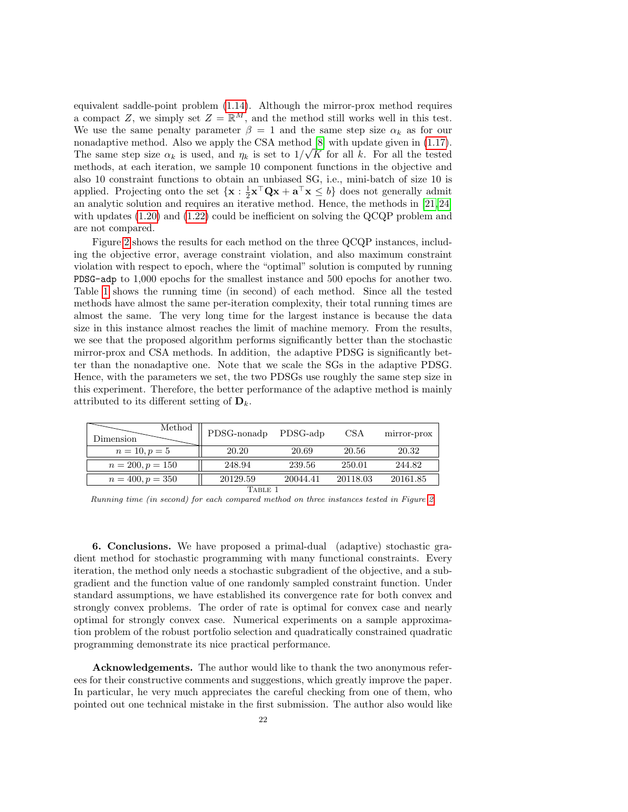equivalent saddle-point problem [\(1.14\)](#page-3-3). Although the mirror-prox method requires a compact Z, we simply set  $Z = \mathbb{R}^M$ , and the method still works well in this test. We use the same penalty parameter  $\beta = 1$  and the same step size  $\alpha_k$  as for our nonadaptive method. Also we apply the CSA method  $[8]$  with update given in [\(1.17\)](#page-4-3). The same step size  $\alpha_k$  is used, and  $\eta_k$  is set to  $1/\sqrt{K}$  for all k. For all the tested methods, at each iteration, we sample 10 component functions in the objective and also 10 constraint functions to obtain an unbiased SG, i.e., mini-batch of size 10 is applied. Projecting onto the set  $\{x : \frac{1}{2}x^\top Qx + a^\top x \le b\}$  does not generally admit an analytic solution and requires an iterative method. Hence, the methods in [\[21,](#page-27-18) [24\]](#page-27-15) with updates [\(1.20\)](#page-5-0) and [\(1.22\)](#page-5-3) could be inefficient on solving the QCQP problem and are not compared.

Figure [2](#page-22-0) shows the results for each method on the three QCQP instances, including the objective error, average constraint violation, and also maximum constraint violation with respect to epoch, where the "optimal" solution is computed by running PDSG-adp to 1,000 epochs for the smallest instance and 500 epochs for another two. Table [1](#page-21-1) shows the running time (in second) of each method. Since all the tested methods have almost the same per-iteration complexity, their total running times are almost the same. The very long time for the largest instance is because the data size in this instance almost reaches the limit of machine memory. From the results, we see that the proposed algorithm performs significantly better than the stochastic mirror-prox and CSA methods. In addition, the adaptive PDSG is significantly better than the nonadaptive one. Note that we scale the SGs in the adaptive PDSG. Hence, with the parameters we set, the two PDSGs use roughly the same step size in this experiment. Therefore, the better performance of the adaptive method is mainly attributed to its different setting of  $\mathbf{D}_k$ .

| Method<br>Dimension | PDSG-nonadp | PDSG-adp | CSA      | mirror-prox |
|---------------------|-------------|----------|----------|-------------|
| $n = 10, p = 5$     | 20.20       | 20.69    | 20.56    | 20.32       |
| $n = 200, p = 150$  | 248.94      | 239.56   | 250.01   | 244.82      |
| $n = 400, p = 350$  | 20129.59    | 20044.41 | 20118.03 | 20161.85    |

TABLE 1

<span id="page-21-1"></span>Running time (in second) for each compared method on three instances tested in Figure [2.](#page-22-0)

<span id="page-21-0"></span>6. Conclusions. We have proposed a primal-dual (adaptive) stochastic gradient method for stochastic programming with many functional constraints. Every iteration, the method only needs a stochastic subgradient of the objective, and a subgradient and the function value of one randomly sampled constraint function. Under standard assumptions, we have established its convergence rate for both convex and strongly convex problems. The order of rate is optimal for convex case and nearly optimal for strongly convex case. Numerical experiments on a sample approximation problem of the robust portfolio selection and quadratically constrained quadratic programming demonstrate its nice practical performance.

Acknowledgements. The author would like to thank the two anonymous referees for their constructive comments and suggestions, which greatly improve the paper. In particular, he very much appreciates the careful checking from one of them, who pointed out one technical mistake in the first submission. The author also would like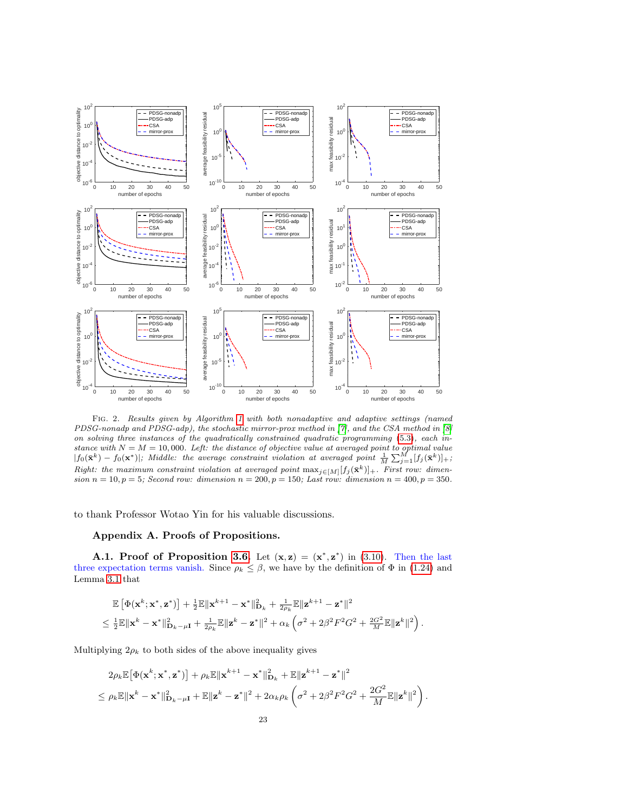

<span id="page-22-0"></span>Fig. 2. Results given by Algorithm [1](#page-1-2) with both nonadaptive and adaptive settings (named PDSG-nonadp and PDSG-adp), the stochastic mirror-prox method in [\[7\]](#page-27-7), and the CSA method in [\[8\]](#page-27-12) on solving three instances of the quadratically constrained quadratic programming [\(5.3\)](#page-20-1), each instance with  $N = M = 10,000$ . Left: the distance of objective value at averaged point to optimal value  $|f_0(\bar{\mathbf{x}}^k) - f_0(\mathbf{x}^*)|$ ; Middle: the average constraint violation at averaged point  $\frac{1}{M} \sum_{j=1}^M [f_j(\bar{\mathbf{x}}^k)]_+$ ; Right: the maximum constraint violation at averaged point  $\max_{j\in[M]}[f_j(\bar{\mathbf{x}}^k)]_+$ . First row: dimension  $n = 10, p = 5$ ; Second row: dimension  $n = 200, p = 150$ ; Last row: dimension  $n = 400, p = 350$ .

to thank Professor Wotao Yin for his valuable discussions.

## Appendix A. Proofs of Propositions.

A.1. Proof of Proposition [3.6.](#page-12-0) Let  $(x, z) = (x^*, z^*)$  in [\(3.10\)](#page-10-5). Then the last three expectation terms vanish. Since  $\rho_k \leq \beta$ , we have by the definition of  $\Phi$  in [\(1.24\)](#page-7-7) and Lemma [3.1](#page-9-1) that

$$
\mathbb{E}\left[\Phi(\mathbf{x}^k;\mathbf{x}^*,\mathbf{z}^*)\right] + \frac{1}{2}\mathbb{E}\|\mathbf{x}^{k+1} - \mathbf{x}^*\|^2_{\mathbf{D}_k} + \frac{1}{2\rho_k}\mathbb{E}\|\mathbf{z}^{k+1} - \mathbf{z}^*\|^2
$$
  
\$\leq \frac{1}{2}\mathbb{E}\|\mathbf{x}^k - \mathbf{x}^\*\|^2\_{\mathbf{D}\_k - \mu\mathbf{I}} + \frac{1}{2\rho\_k}\mathbb{E}\|\mathbf{z}^k - \mathbf{z}^\*\|^2 + \alpha\_k\left(\sigma^2 + 2\beta^2F^2G^2 + \frac{2G^2}{M}\mathbb{E}\|\mathbf{z}^k\|^2\right).

Multiplying  $2\rho_k$  to both sides of the above inequality gives

$$
2\rho_k \mathbb{E}\big[\Phi(\mathbf{x}^k; \mathbf{x}^*, \mathbf{z}^*)\big] + \rho_k \mathbb{E}\|\mathbf{x}^{k+1} - \mathbf{x}^*\|_{\mathbf{D}_k}^2 + \mathbb{E}\|\mathbf{z}^{k+1} - \mathbf{z}^*\|^2
$$
  
\$\leq \rho\_k \mathbb{E}\|\mathbf{x}^k - \mathbf{x}^\*\|\_{\mathbf{D}\_k - \mu\mathbf{I}}^2 + \mathbb{E}\|\mathbf{z}^k - \mathbf{z}^\*\|^2 + 2\alpha\_k \rho\_k \left(\sigma^2 + 2\beta^2 F^2 G^2 + \frac{2G^2}{M} \mathbb{E}\|\mathbf{z}^k\|^2\right).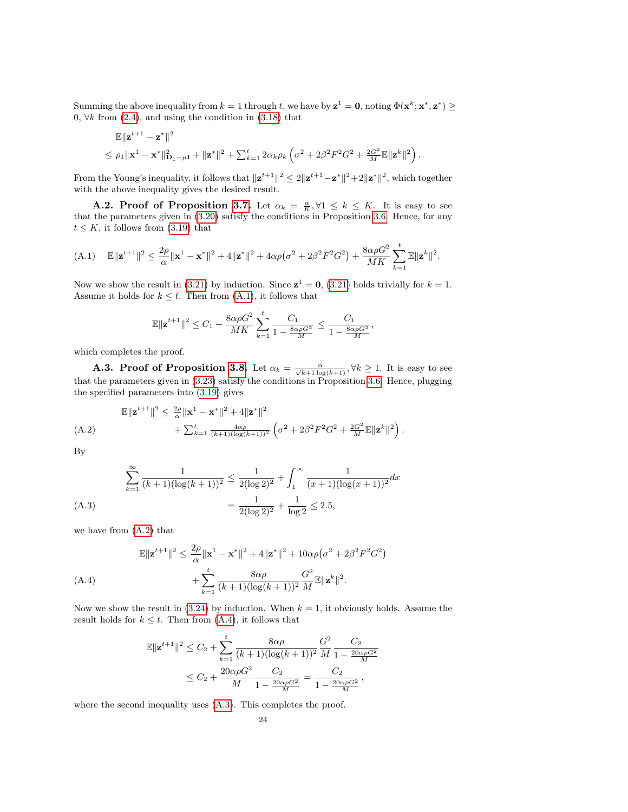Summing the above inequality from  $k = 1$  through t, we have by  $\mathbf{z}^1 = \mathbf{0}$ , noting  $\Phi(\mathbf{x}^k; \mathbf{x}^*, \mathbf{z}^*) \geq 0$ 0,  $\forall k$  from [\(2.4\)](#page-8-3), and using the condition in [\(3.18\)](#page-12-6) that

$$
\mathbb{E} \|\mathbf{z}^{t+1} - \mathbf{z}^*\|^2
$$
  
\$\leq \rho\_1 \|\mathbf{x}^1 - \mathbf{x}^\*\|^2\_{\mathbf{D}\_1 - \mu\mathbf{I}} + \|\mathbf{z}^\*\|^2 + \sum\_{k=1}^t 2\alpha\_k \rho\_k \left(\sigma^2 + 2\beta^2 F^2 G^2 + \frac{2G^2}{M} \mathbb{E} \|\mathbf{z}^k\|^2\right).

From the Young's inequality, it follows that  $\|\mathbf{z}^{t+1}\|^2 \leq 2\|\mathbf{z}^{t+1}-\mathbf{z}^*\|^2 + 2\|\mathbf{z}^*\|^2$ , which together with the above inequality gives the desired result.

**A.2. Proof of Proposition [3.7.](#page-12-7)** Let  $\alpha_k = \frac{\alpha}{K}$ ,  $\forall 1 \leq k \leq K$ . It is easy to see that the parameters given in [\(3.20\)](#page-12-1) satisfy the conditions in Proposition [3.6.](#page-12-0) Hence, for any  $t \leq K$ , it follows from [\(3.19\)](#page-12-8) that

<span id="page-23-1"></span>(A.1) 
$$
\mathbb{E} \|\mathbf{z}^{t+1}\|^2 \leq \frac{2\rho}{\alpha} \|\mathbf{x}^1 - \mathbf{x}^*\|^2 + 4\|\mathbf{z}^*\|^2 + 4\alpha\rho(\sigma^2 + 2\beta^2 F^2 G^2) + \frac{8\alpha\rho G^2}{MK} \sum_{k=1}^t \mathbb{E} \|\mathbf{z}^k\|^2.
$$

Now we show the result in [\(3.21\)](#page-12-3) by induction. Since  $z^1 = 0$ , (3.21) holds trivially for  $k = 1$ . Assume it holds for  $k \leq t$ . Then from  $(A.1)$ , it follows that

$$
\mathbb{E}\|{\bf z}^{t+1}\|^2 \leq C_1 + \frac{8\alpha\rho G^2}{MK}\sum_{k=1}^t \frac{C_1}{1-\frac{8\alpha\rho G^2}{M}} \leq \frac{C_1}{1-\frac{8\alpha\rho G^2}{M}},
$$

which completes the proof.

**A.3. Proof of Proposition [3.8.](#page-12-9)** Let  $\alpha_k = \frac{\alpha}{\sqrt{k+1} \log(k+1)}$ ,  $\forall k \ge 1$ . It is easy to see that the parameters given in [\(3.23\)](#page-12-4) satisfy the conditions in Proposition [3.6.](#page-12-0) Hence, plugging the specified parameters into [\(3.19\)](#page-12-8) gives

<span id="page-23-2"></span>
$$
\mathbb{E} \|\mathbf{z}^{t+1}\|^2 \leq \frac{2\rho}{\alpha} \|\mathbf{x}^1 - \mathbf{x}^*\|^2 + 4 \|\mathbf{z}^*\|^2 + \sum_{k=1}^t \frac{4\alpha\rho}{(k+1)(\log(k+1))^2} \left(\sigma^2 + 2\beta^2 F^2 G^2 + \frac{2G^2}{M} \mathbb{E} \|\mathbf{z}^k\|^2\right).
$$
\n(A.2)

By

<span id="page-23-0"></span>
$$
\sum_{k=1}^{\infty} \frac{1}{(k+1)(\log(k+1))^2} \le \frac{1}{2(\log 2)^2} + \int_1^{\infty} \frac{1}{(x+1)(\log(x+1))^2} dx
$$
  
(A.3)
$$
= \frac{1}{2(\log 2)^2} + \frac{1}{\log 2} \le 2.5,
$$

we have from [\(A.2\)](#page-23-2) that

<span id="page-23-3"></span>
$$
\mathbb{E} \|\mathbf{z}^{t+1}\|^2 \le \frac{2\rho}{\alpha} \|\mathbf{x}^1 - \mathbf{x}^*\|^2 + 4\|\mathbf{z}^*\|^2 + 10\alpha\rho(\sigma^2 + 2\beta^2 F^2 G^2) + \sum_{k=1}^t \frac{8\alpha\rho}{(k+1)(\log(k+1))^2} \frac{G^2}{M} \mathbb{E} \|\mathbf{z}^k\|^2.
$$
\n(A.4)

Now we show the result in  $(3.24)$  by induction. When  $k = 1$ , it obviously holds. Assume the result holds for  $k \leq t$ . Then from [\(A.4\)](#page-23-3), it follows that

$$
\mathbb{E} \|\mathbf{z}^{t+1}\|^2 \le C_2 + \sum_{k=1}^t \frac{8\alpha\rho}{(k+1)(\log(k+1))^2} \frac{G^2}{M} \frac{C_2}{1 - \frac{20\alpha\rho G^2}{M}} \le C_2 + \frac{20\alpha\rho G^2}{M} \frac{C_2}{1 - \frac{20\alpha\rho G^2}{M}} = \frac{C_2}{1 - \frac{20\alpha\rho G^2}{M}},
$$

where the second inequality uses  $(A.3)$ . This completes the proof.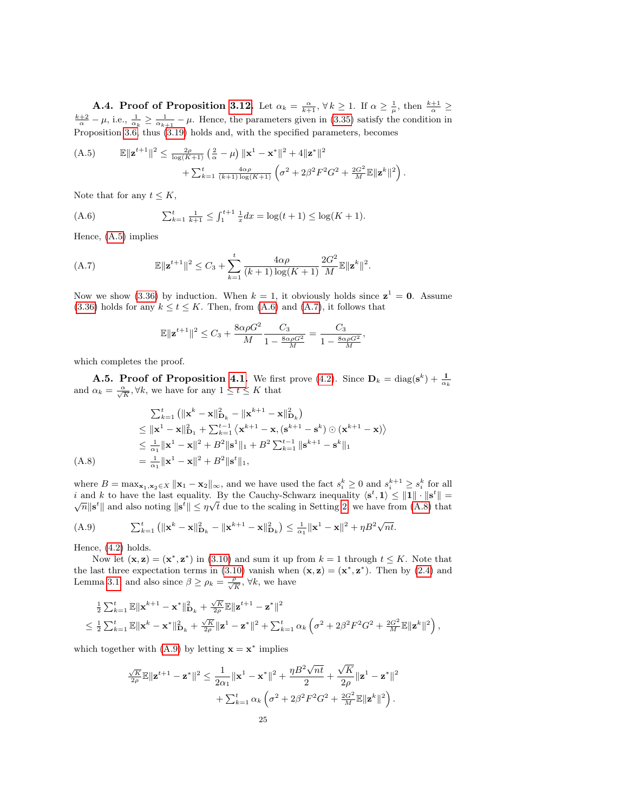**A.4. Proof of Proposition [3.12.](#page-16-1)** Let  $\alpha_k = \frac{\alpha}{k+1}$ ,  $\forall k \ge 1$ . If  $\alpha \ge \frac{1}{\mu}$ , then  $\frac{k+1}{\alpha} \ge \frac{k+2}{\alpha} - \mu$ , i.e.,  $\frac{1}{\alpha_k} \ge \frac{1}{\alpha_{k+1}} - \mu$ . Hence, the parameters given in [\(3.35\)](#page-16-7) satisfy the condition in Proposition [3.6,](#page-12-0) thus [\(3.19\)](#page-12-8) holds and, with the specified parameters, becomes

<span id="page-24-1"></span>(A.5) 
$$
\mathbb{E} \|\mathbf{z}^{t+1}\|^2 \leq \frac{2\rho}{\log(K+1)} \left(\frac{2}{\alpha} - \mu\right) \|\mathbf{x}^1 - \mathbf{x}^*\|^2 + 4\|\mathbf{z}^*\|^2 + \sum_{k=1}^t \frac{4\alpha\rho}{(k+1)\log(K+1)} \left(\sigma^2 + 2\beta^2 F^2 G^2 + \frac{2G^2}{M} \mathbb{E} \|\mathbf{z}^k\|^2\right).
$$

Note that for any  $t \leq K$ ,

<span id="page-24-0"></span>(A.6) 
$$
\sum_{k=1}^{t} \frac{1}{k+1} \leq \int_{1}^{t+1} \frac{1}{x} dx = \log(t+1) \leq \log(K+1).
$$

Hence, [\(A.5\)](#page-24-1) implies

<span id="page-24-2"></span>(A.7) 
$$
\mathbb{E}\|\mathbf{z}^{t+1}\|^2 \leq C_3 + \sum_{k=1}^t \frac{4\alpha\rho}{(k+1)\log(K+1)} \frac{2G^2}{M} \mathbb{E}\|\mathbf{z}^k\|^2.
$$

Now we show [\(3.36\)](#page-16-2) by induction. When  $k = 1$ , it obviously holds since  $z^1 = 0$ . Assume [\(3.36\)](#page-16-2) holds for any  $k \le t \le K$ . Then, from [\(A.6\)](#page-24-0) and [\(A.7\)](#page-24-2), it follows that

$$
\mathbb{E} \|\mathbf{z}^{t+1}\|^2 \leq C_3 + \frac{8\alpha\rho G^2}{M} \frac{C_3}{1 - \frac{8\alpha\rho G^2}{M}} = \frac{C_3}{1 - \frac{8\alpha\rho G^2}{M}},
$$

which completes the proof.

**A.5. Proof of Proposition [4.1.](#page-18-5)** We first prove [\(4.2\)](#page-18-3). Since  $\mathbf{D}_k = \text{diag}(\mathbf{s}^k) + \frac{\mathbf{I}}{\alpha_k}$  and  $\alpha_k = \frac{\alpha}{\sqrt{K}}$ ,  $\forall k$ , we have for any  $1 \le t \le K$  that

$$
\sum_{k=1}^{t} \left( \|\mathbf{x}^{k} - \mathbf{x}\|_{\mathbf{D}_{k}}^{2} - \|\mathbf{x}^{k+1} - \mathbf{x}\|_{\mathbf{D}_{k}}^{2} \right)
$$
\n
$$
\leq \|\mathbf{x}^{1} - \mathbf{x}\|_{\mathbf{D}_{1}}^{2} + \sum_{k=1}^{t-1} \left\langle \mathbf{x}^{k+1} - \mathbf{x}, (\mathbf{s}^{k+1} - \mathbf{s}^{k}) \odot (\mathbf{x}^{k+1} - \mathbf{x}) \right\rangle
$$
\n
$$
\leq \frac{1}{\alpha_{1}} \|\mathbf{x}^{1} - \mathbf{x}\|^{2} + B^{2} \|\mathbf{s}^{1}\|_{1} + B^{2} \sum_{k=1}^{t-1} \|\mathbf{s}^{k+1} - \mathbf{s}^{k}\|_{1}
$$
\n(A.8)\n
$$
= \frac{1}{\alpha_{1}} \|\mathbf{x}^{1} - \mathbf{x}\|^{2} + B^{2} \|\mathbf{s}^{t}\|_{1},
$$

<span id="page-24-3"></span>where  $B = \max_{\mathbf{x}_1, \mathbf{x}_2 \in X} ||\mathbf{x}_1 - \mathbf{x}_2||_{\infty}$ , and we have used the fact  $s_i^k \geq 0$  and  $s_i^{k+1} \geq s_i^k$  for all i and k to have the last equality. By the Cauchy-Schwarz inequality  $\langle s^t, 1 \rangle \leq ||1|| \cdot ||s^t|| =$  $\overline{n}$  and also noting  $\|\mathbf{s}^t\| \leq \eta \sqrt{t}$  due to the scaling in Setting [2,](#page-1-3) we have from [\(A.8\)](#page-24-3) that

<span id="page-24-4"></span>(A.9) 
$$
\sum_{k=1}^{t} (||\mathbf{x}^{k} - \mathbf{x}||_{\mathbf{D}_{k}}^{2} - ||\mathbf{x}^{k+1} - \mathbf{x}||_{\mathbf{D}_{k}}^{2}) \leq \frac{1}{\alpha_{1}} ||\mathbf{x}^{1} - \mathbf{x}||^{2} + \eta B^{2} \sqrt{n t}.
$$

Hence, [\(4.2\)](#page-18-3) holds.

Now let  $(\mathbf{x}, \mathbf{z}) = (\mathbf{x}^*, \mathbf{z}^*)$  in [\(3.10\)](#page-10-5) and sum it up from  $k = 1$  through  $t \leq K$ . Note that the last three expectation terms in [\(3.10\)](#page-10-5) vanish when  $(\mathbf{x}, \mathbf{z}) = (\mathbf{x}^*, \mathbf{z}^*)$ . Then by [\(2.4\)](#page-8-3) and Lemma [3.1,](#page-9-1) and also since  $\beta \ge \rho_k = \frac{\rho}{\sqrt{K}}$ ,  $\forall k$ , we have

$$
\begin{split} &\tfrac{1}{2}\sum_{k=1}^{t}\mathbb{E}\|\mathbf{x}^{k+1}-\mathbf{x}^*\|^2_{\mathbf{D}_k}+\tfrac{\sqrt{K}}{2\rho}\mathbb{E}\|\mathbf{z}^{t+1}-\mathbf{z}^*\|^2\\ &\leq \tfrac{1}{2}\sum_{k=1}^{t}\mathbb{E}\|\mathbf{x}^k-\mathbf{x}^*\|^2_{\mathbf{D}_k}+\tfrac{\sqrt{K}}{2\rho}\|\mathbf{z}^1-\mathbf{z}^*\|^2+\sum_{k=1}^{t}\alpha_k\left(\sigma^2+2\beta^2F^2G^2+\tfrac{2G^2}{M}\mathbb{E}\|\mathbf{z}^k\|^2\right), \end{split}
$$

which together with  $(A.9)$  by letting  $\mathbf{x} = \mathbf{x}^*$  implies

$$
\label{eq:4.13} \begin{split} \frac{\sqrt{K}}{2\rho} \mathbb{E} \| \mathbf{z}^{t+1} - \mathbf{z}^* \|^2 \leq \frac{1}{2\alpha_1} \| \mathbf{x}^1 - \mathbf{x}^* \|^2 + \frac{\eta B^2 \sqrt{nt}}{2} + \frac{\sqrt{K}}{2\rho} \| \mathbf{z}^1 - \mathbf{z}^* \|^2 \\ &\quad + \sum_{k=1}^t \alpha_k \left( \sigma^2 + 2\beta^2 F^2 G^2 + \frac{2G^2}{M} \mathbb{E} \| \mathbf{z}^k \|^2 \right). \end{split}
$$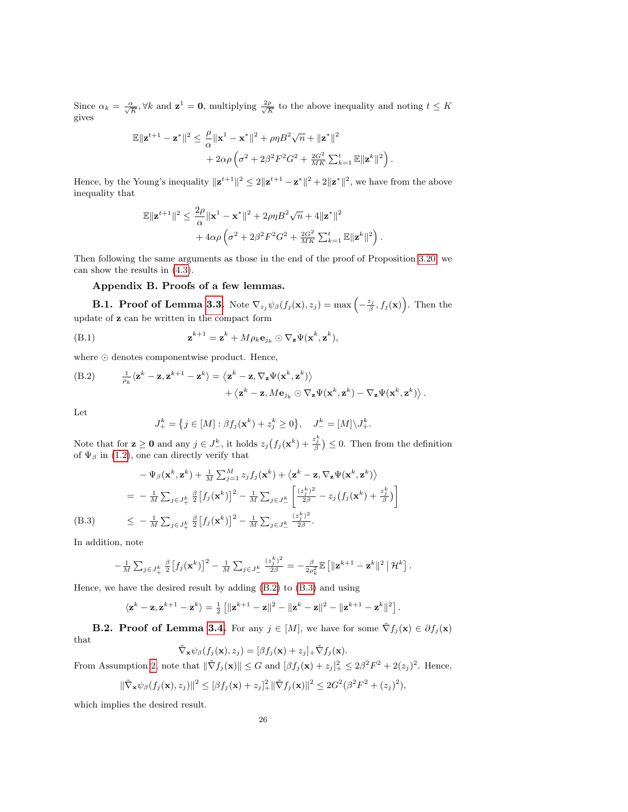Since  $\alpha_k = \frac{\alpha}{\sqrt{K}}$ ,  $\forall k$  and  $\mathbf{z}^1 = \mathbf{0}$ , multiplying  $\frac{2\rho}{\sqrt{K}}$  to the above inequality and noting  $t \leq K$ gives

$$
\label{eq:3.1} \begin{split} \mathbb{E}\|\mathbf{z}^{t+1}-\mathbf{z}^*\|^2 &\leq \frac{\rho}{\alpha}\|\mathbf{x}^1-\mathbf{x}^*\|^2+\rho\eta B^2\sqrt{n}+\|\mathbf{z}^*\|^2\\ &+2\alpha\rho\left(\sigma^2+2\beta^2F^2G^2+\frac{2G^2}{MK}\sum_{k=1}^t\mathbb{E}\|\mathbf{z}^k\|^2\right). \end{split}
$$

Hence, by the Young's inequality  $\|\mathbf{z}^{t+1}\|^2 \leq 2\|\mathbf{z}^{t+1} - \mathbf{z}^*\|^2 + 2\|\mathbf{z}^*\|^2$ , we have from the above inequality that

$$
\label{eq:3.1} \begin{split} \mathbb{E}\|\mathbf{z}^{t+1}\|^2 &\leq \frac{2\rho}{\alpha}\|\mathbf{x}^1-\mathbf{x}^*\|^2+2\rho\eta B^2\sqrt{n}+4\|\mathbf{z}^*\|^2\\ &+4\alpha\rho\left(\sigma^2+2\beta^2F^2G^2+\frac{2G^2}{MK}\sum_{k=1}^t\mathbb{E}\|\mathbf{z}^k\|^2\right). \end{split}
$$

Then following the same arguments as those in the end of the proof of Proposition [3.20,](#page-12-1) we can show the results in [\(4.3\)](#page-18-4).

## Appendix B. Proofs of a few lemmas.

**B.1. Proof of Lemma [3.3.](#page-10-7)** Note  $\nabla_{z_j}\psi_\beta(f_j(\mathbf{x}), z_j) = \max\left(-\frac{z_j}{\beta}, f_j(\mathbf{x})\right)$ . Then the update of z can be written in the compact form

(B.1) 
$$
\mathbf{z}^{k+1} = \mathbf{z}^k + M \rho_k \mathbf{e}_{j_k} \odot \nabla_{\mathbf{z}} \Psi(\mathbf{x}^k, \mathbf{z}^k),
$$

where  $\odot$  denotes componentwise product. Hence,

<span id="page-25-0"></span>(B.2) 
$$
\frac{1}{\rho_k}\langle \mathbf{z}^k - \mathbf{z}, \mathbf{z}^{k+1} - \mathbf{z}^k \rangle = \langle \mathbf{z}^k - \mathbf{z}, \nabla_{\mathbf{z}} \Psi(\mathbf{x}^k, \mathbf{z}^k) \rangle + \langle \mathbf{z}^k - \mathbf{z}, M\mathbf{e}_{j_k} \odot \nabla_{\mathbf{z}} \Psi(\mathbf{x}^k, \mathbf{z}^k) - \nabla_{\mathbf{z}} \Psi(\mathbf{x}^k, \mathbf{z}^k) \rangle.
$$

Let

$$
J_{+}^{k} = \{ j \in [M] : \beta f_{j}(\mathbf{x}^{k}) + z_{j}^{k} \ge 0 \}, \quad J_{-}^{k} = [M] \backslash J_{+}^{k}.
$$

Note that for  $\mathbf{z} \geq \mathbf{0}$  and any  $j \in J^k_-$ , it holds  $z_j(f_j(\mathbf{x}^k) + \frac{z_j^k}{\beta}) \leq 0$ . Then from the definition of  $\Psi_{\beta}$  in [\(1.2\)](#page-0-2), one can directly verify that

$$
-\Psi_{\beta}(\mathbf{x}^{k}, \mathbf{z}^{k}) + \frac{1}{M} \sum_{j=1}^{M} z_{j} f_{j}(\mathbf{x}^{k}) + \langle \mathbf{z}^{k} - \mathbf{z}, \nabla_{\mathbf{z}} \Psi(\mathbf{x}^{k}, \mathbf{z}^{k}) \rangle
$$
  
\n
$$
= -\frac{1}{M} \sum_{j \in J_{+}^{k}} \frac{\beta}{2} [f_{j}(\mathbf{x}^{k})]^{2} - \frac{1}{M} \sum_{j \in J_{-}^{k}} \left[ \frac{(z_{j}^{k})^{2}}{2\beta} - z_{j} (f_{j}(\mathbf{x}^{k}) + \frac{z_{j}^{k}}{\beta}) \right]
$$
  
\n(B.3) 
$$
\leq -\frac{1}{M} \sum_{j \in J_{+}^{k}} \frac{\beta}{2} [f_{j}(\mathbf{x}^{k})]^{2} - \frac{1}{M} \sum_{j \in J_{-}^{k}} \frac{(z_{j}^{k})^{2}}{2\beta}.
$$

<span id="page-25-1"></span>In addition, note

$$
-\frac{1}{M}\sum_{j\in J^k_+}\frac{\beta}{2}\left[f_j(\mathbf{x}^k)\right]^2-\frac{1}{M}\sum_{j\in J^k_-}\frac{(z_j^k)^2}{2\beta}=-\frac{\beta}{2\rho_k^2}\mathbb{E}\left[\|\mathbf{z}^{k+1}-\mathbf{z}^k\|^2\,\big|\,\mathcal{H}^k\right].
$$

Hence, we have the desired result by adding [\(B.2\)](#page-25-0) to [\(B.3\)](#page-25-1) and using

$$
\langle \mathbf{z}^k - \mathbf{z}, \mathbf{z}^{k+1} - \mathbf{z}^k \rangle = \frac{1}{2} \left[ \|\mathbf{z}^{k+1} - \mathbf{z}\|^2 - \|\mathbf{z}^k - \mathbf{z}\|^2 - \|\mathbf{z}^{k+1} - \mathbf{z}^k\|^2 \right].
$$

**B.2. Proof of Lemma [3.4.](#page-10-8)** For any  $j \in [M]$ , we have for some  $\tilde{\nabla} f_j(\mathbf{x}) \in \partial f_j(\mathbf{x})$ that

$$
\tilde{\nabla}_{\mathbf{x}} \psi_{\beta}(f_j(\mathbf{x}), z_j) = [\beta f_j(\mathbf{x}) + z_j]_{+} \tilde{\nabla} f_j(\mathbf{x}).
$$

From Assumption [2,](#page-7-2) note that  $\|\tilde{\nabla} f_j(\mathbf{x})\| \leq G$  and  $[\beta f_j(\mathbf{x}) + z_j]_+^2 \leq 2\beta^2 F^2 + 2(z_j)^2$ . Hence,

$$
\|\tilde{\nabla}_{\mathbf{x}} \psi_{\beta}(f_j(\mathbf{x}), z_j)\|^2 \leq [\beta f_j(\mathbf{x}) + z_j]_+^2 \|\tilde{\nabla} f_j(\mathbf{x})\|^2 \leq 2G^2 (\beta^2 F^2 + (z_j)^2),
$$

which implies the desired result.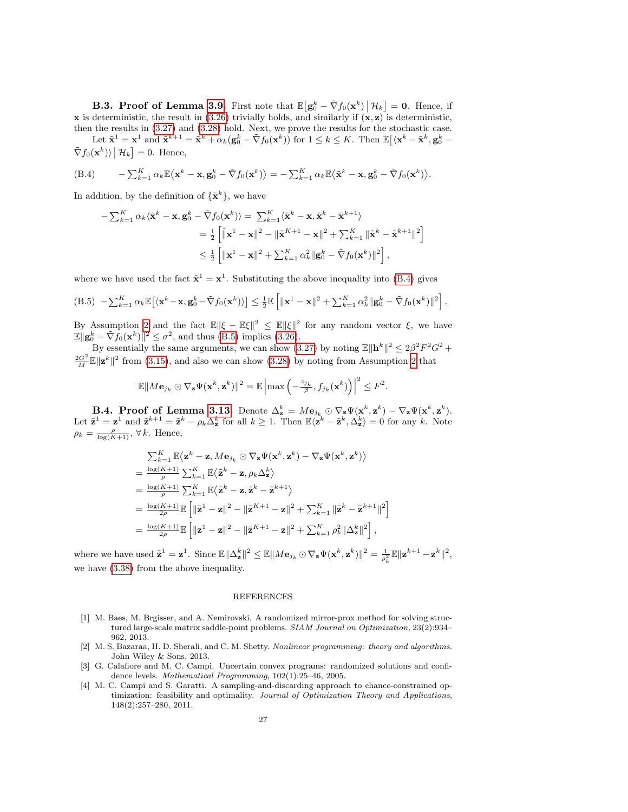**B.3. Proof of Lemma [3.9.](#page-13-8)** First note that  $\mathbb{E}\left[\mathbf{g}_0^k - \tilde{\nabla}f_0(\mathbf{x}^k)\,\middle|\,\mathcal{H}_k\right] = \mathbf{0}$ . Hence, if x is deterministic, the result in [\(3.26\)](#page-13-0) trivially holds, and similarly if  $(x, z)$  is deterministic, then the results in [\(3.27\)](#page-13-9) and [\(3.28\)](#page-13-1) hold. Next, we prove the results for the stochastic case. Let  $\tilde{\mathbf{x}}^1 = \mathbf{x}^1$  and  $\tilde{\mathbf{x}}^{k+1} = \tilde{\mathbf{x}}^k + \alpha_k(\mathbf{g}_0^k - \tilde{\nabla}f_0(\mathbf{x}^k))$  for  $1 \leq k \leq K$ . Then  $\mathbb{E}[\langle \mathbf{x}^k - \tilde{\mathbf{x}}^k, \mathbf{g}_0^k - \tilde{\nabla}f_0(\mathbf{x}^k)]$  $\tilde{\nabla} f_0(\mathbf{x}^k) \rangle \, | \, \mathcal{H}_k] = 0.$  Hence,

<span id="page-26-4"></span>(B.4) 
$$
- \sum_{k=1}^{K} \alpha_k \mathbb{E} \langle \mathbf{x}^k - \mathbf{x}, \mathbf{g}_0^k - \tilde{\nabla} f_0(\mathbf{x}^k) \rangle = - \sum_{k=1}^{K} \alpha_k \mathbb{E} \langle \tilde{\mathbf{x}}^k - \mathbf{x}, \mathbf{g}_0^k - \tilde{\nabla} f_0(\mathbf{x}^k) \rangle.
$$

In addition, by the definition of  $\{\tilde{\mathbf{x}}^k\}$ , we have

$$
-\sum_{k=1}^{K} \alpha_k \langle \tilde{\mathbf{x}}^k - \mathbf{x}, \mathbf{g}_0^k - \tilde{\nabla} f_0(\mathbf{x}^k) \rangle = \sum_{k=1}^{K} \langle \tilde{\mathbf{x}}^k - \mathbf{x}, \tilde{\mathbf{x}}^k - \tilde{\mathbf{x}}^{k+1} \rangle
$$
  
\n
$$
= \frac{1}{2} \left[ \|\mathbf{x}^1 - \mathbf{x}\|^2 - \|\tilde{\mathbf{x}}^{K+1} - \mathbf{x}\|^2 + \sum_{k=1}^{K} \|\tilde{\mathbf{x}}^k - \tilde{\mathbf{x}}^{k+1}\|^2 \right]
$$
  
\n
$$
\leq \frac{1}{2} \left[ \|\mathbf{x}^1 - \mathbf{x}\|^2 + \sum_{k=1}^{K} \alpha_k^2 \|\mathbf{g}_0^k - \tilde{\nabla} f_0(\mathbf{x}^k)\|^2 \right],
$$

where we have used the fact  $\tilde{\mathbf{x}}^1 = \mathbf{x}^1$ . Substituting the above inequality into [\(B.4\)](#page-26-4) gives

<span id="page-26-5"></span>(B.5) 
$$
-\sum_{k=1}^K \alpha_k \mathbb{E}\big[\langle \mathbf{x}^k - \mathbf{x}, \mathbf{g}_0^k - \tilde{\nabla} f_0(\mathbf{x}^k) \rangle\big] \leq \frac{1}{2} \mathbb{E}\left[\|\mathbf{x}^1 - \mathbf{x}\|^2 + \sum_{k=1}^K \alpha_k^2 \|\mathbf{g}_0^k - \tilde{\nabla} f_0(\mathbf{x}^k)\|^2\right].
$$

By Assumption [2](#page-7-2) and the fact  $\mathbb{E} \|\xi - \mathbb{E}\xi\|^2 \leq \mathbb{E} \|\xi\|^2$  for any random vector  $\xi$ , we have  $\mathbb{E} \|\mathbf{g}_0^k - \tilde{\nabla} f_0(\mathbf{x}^k)\|^2 \leq \sigma^2$ , and thus [\(B.5\)](#page-26-5) implies [\(3.26\)](#page-13-0).

By essentially the same arguments, we can show [\(3.27\)](#page-13-9) by noting  $\mathbb{E} \|\mathbf{h}^k\|^2 \leq 2\beta^2 F^2 G^2 +$  $\frac{2G^2}{M}\mathbb{E}||\mathbf{z}^k||^2$  from [\(3.15\)](#page-11-3), and also we can show [\(3.28\)](#page-13-1) by noting from Assumption [2](#page-7-2) that

$$
\mathbb{E}||M\mathbf{e}_{j_k} \odot \nabla_{\mathbf{z}} \Psi(\mathbf{x}^k, \mathbf{z}^k)||^2 = \mathbb{E}\left|\max\left(-\frac{z_{j_k}}{\beta}, f_{j_k}(\mathbf{x}^k)\right)\right|^2 \leq F^2.
$$

**B.4. Proof of Lemma [3.13.](#page-16-4)** Denote  $\Delta_{\mathbf{z}}^k = M\mathbf{e}_{j_k} \odot \nabla_{\mathbf{z}} \Psi(\mathbf{x}^k, \mathbf{z}^k) - \nabla_{\mathbf{z}} \Psi(\mathbf{x}^k, \mathbf{z}^k)$ . Let  $\tilde{\mathbf{z}}^1 = \mathbf{z}^1$  and  $\tilde{\mathbf{z}}^{k+1} = \tilde{\mathbf{z}}^k - \rho_k \Delta_{\mathbf{z}}^k$  for all  $k \geq 1$ . Then  $\mathbb{E}\langle \tilde{\mathbf{z}}^k - \tilde{\mathbf{z}}^k, \Delta_{\mathbf{z}}^k \rangle = 0$  for any k. Note  $\rho_k = \frac{\rho}{\log(K+1)}, \forall k.$  Hence,

$$
\begin{split} & \frac{\sum_{k=1}^K \mathbb{E}\big\langle\mathbf{z}^k-\mathbf{z}, M\mathbf{e}_{j_k}\odot\nabla_{\mathbf{z}}\Psi\big(\mathbf{x}^k,\mathbf{z}^k\big)-\nabla_{\mathbf{z}}\Psi\big(\mathbf{x}^k,\mathbf{z}^k\big)\big\rangle}{\rho} \\ &= \frac{\log(K+1)}{\rho}\sum_{k=1}^K \mathbb{E}\big\langle\tilde{\mathbf{z}}^k-\mathbf{z}, \rho_k\Delta^k_{\mathbf{z}}\big\rangle \\ &= \frac{\log(K+1)}{\rho}\sum_{k=1}^K \mathbb{E}\big\langle\tilde{\mathbf{z}}^k-\mathbf{z}, \tilde{\mathbf{z}}^k-\tilde{\mathbf{z}}^{k+1}\big\rangle \\ &= \frac{\log(K+1)}{2\rho}\mathbb{E}\left[\|\tilde{\mathbf{z}}^1-\mathbf{z}\|^2-\|\tilde{\mathbf{z}}^{K+1}-\mathbf{z}\|^2+\sum_{k=1}^K \|\tilde{\mathbf{z}}^k-\tilde{\mathbf{z}}^{k+1}\|^2\right] \\ &= \frac{\log(K+1)}{2\rho}\mathbb{E}\left[\|\mathbf{z}^1-\mathbf{z}\|^2-\|\tilde{\mathbf{z}}^{K+1}-\mathbf{z}\|^2+\sum_{k=1}^K \rho_k^2\|\Delta^k_{\mathbf{z}}\|^2\right], \end{split}
$$

where we have used  $\tilde{\mathbf{z}}^1 = \mathbf{z}^1$ . Since  $\mathbb{E} \|\Delta_{\mathbf{z}}^k\|^2 \leq \mathbb{E} \|M\mathbf{e}_{j_k} \odot \nabla_{\mathbf{z}} \Psi(\mathbf{x}^k, \mathbf{z}^k)\|^2 = \frac{1}{\rho_k^2} \mathbb{E} \|\mathbf{z}^{k+1} - \mathbf{z}^k\|^2$ , we have [\(3.38\)](#page-16-8) from the above inequality.

### REFERENCES

- <span id="page-26-2"></span>[1] M. Baes, M. Brgisser, and A. Nemirovski. A randomized mirror-prox method for solving structured large-scale matrix saddle-point problems. SIAM Journal on Optimization, 23(2):934– 962, 2013.
- <span id="page-26-3"></span>[2] M. S. Bazaraa, H. D. Sherali, and C. M. Shetty. Nonlinear programming: theory and algorithms. John Wiley & Sons, 2013.
- <span id="page-26-1"></span>[3] G. Calafiore and M. C. Campi. Uncertain convex programs: randomized solutions and confidence levels. Mathematical Programming, 102(1):25–46, 2005.
- <span id="page-26-0"></span>[4] M. C. Campi and S. Garatti. A sampling-and-discarding approach to chance-constrained optimization: feasibility and optimality. Journal of Optimization Theory and Applications, 148(2):257–280, 2011.